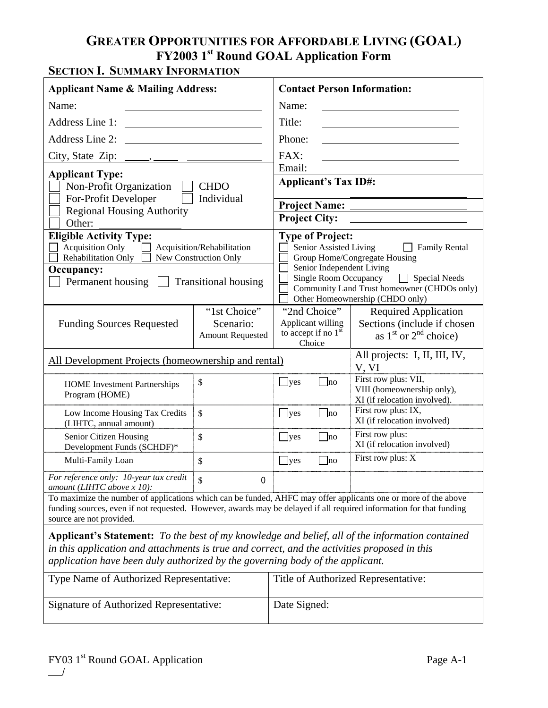# **GREATER OPPORTUNITIES FOR AFFORDABLE LIVING (GOAL) FY2003 1st Round GOAL Application Form**

# **SECTION I. SUMMARY INFORMATION**

| <b>Applicant Name &amp; Mailing Address:</b>                                                                                                                                                                                                                                     |                                                      | <b>Contact Person Information:</b>                                                                             |                                                                                                                                                                 |  |  |
|----------------------------------------------------------------------------------------------------------------------------------------------------------------------------------------------------------------------------------------------------------------------------------|------------------------------------------------------|----------------------------------------------------------------------------------------------------------------|-----------------------------------------------------------------------------------------------------------------------------------------------------------------|--|--|
| Name:                                                                                                                                                                                                                                                                            |                                                      | Name:                                                                                                          |                                                                                                                                                                 |  |  |
| Address Line 1:                                                                                                                                                                                                                                                                  |                                                      | Title:                                                                                                         |                                                                                                                                                                 |  |  |
| Address Line 2:                                                                                                                                                                                                                                                                  |                                                      | Phone:                                                                                                         |                                                                                                                                                                 |  |  |
|                                                                                                                                                                                                                                                                                  |                                                      | FAX:                                                                                                           |                                                                                                                                                                 |  |  |
| <b>Applicant Type:</b><br>Non-Profit Organization<br>For-Profit Developer<br><b>Regional Housing Authority</b>                                                                                                                                                                   | <b>CHDO</b><br>Individual                            | Email:<br><b>Applicant's Tax ID#:</b><br><b>Project Name:</b><br><b>Project City:</b>                          |                                                                                                                                                                 |  |  |
| Other:                                                                                                                                                                                                                                                                           |                                                      |                                                                                                                |                                                                                                                                                                 |  |  |
| <b>Eligible Activity Type:</b><br><b>Acquisition Only</b><br>Rehabilitation Only<br>Occupancy:<br>Permanent housing Transitional housing                                                                                                                                         | Acquisition/Rehabilitation<br>New Construction Only  | <b>Type of Project:</b><br>Senior Assisted Living<br>Senior Independent Living<br><b>Single Room Occupancy</b> | $\Box$ Family Rental<br>Group Home/Congregate Housing<br>$\Box$ Special Needs<br>Community Land Trust homeowner (CHDOs only)<br>Other Homeownership (CHDO only) |  |  |
| <b>Funding Sources Requested</b>                                                                                                                                                                                                                                                 | "1st Choice"<br>Scenario:<br><b>Amount Requested</b> | "2nd Choice"<br>Applicant willing<br>to accept if no 1 <sup>st</sup><br>Choice                                 | <b>Required Application</b><br>Sections (include if chosen<br>as $1st$ or $2nd$ choice)                                                                         |  |  |
| All Development Projects (homeownership and rental)                                                                                                                                                                                                                              |                                                      |                                                                                                                | All projects: I, II, III, IV,<br>V, VI                                                                                                                          |  |  |
| <b>HOME</b> Investment Partnerships<br>Program (HOME)                                                                                                                                                                                                                            | \$                                                   | $\mathbf{\underline{J}}$ yes<br> no                                                                            | First row plus: VII,<br>VIII (homeownership only),<br>XI (if relocation involved).                                                                              |  |  |
| Low Income Housing Tax Credits<br>(LIHTC, annual amount)                                                                                                                                                                                                                         | \$                                                   | $\Box$ yes<br>$\ln 0$                                                                                          | First row plus: IX,<br>XI (if relocation involved)                                                                                                              |  |  |
| Senior Citizen Housing<br>Development Funds (SCHDF)*                                                                                                                                                                                                                             | \$                                                   | $\Box$ yes<br>$\Box$ no                                                                                        | First row plus:<br>XI (if relocation involved)                                                                                                                  |  |  |
| Multi-Family Loan                                                                                                                                                                                                                                                                | \$                                                   | $\Box$ yes<br>$\Box$ no                                                                                        | First row plus: X                                                                                                                                               |  |  |
| For reference only: 10-year tax credit<br>amount (LIHTC above $x$ 10):                                                                                                                                                                                                           | $\mathbb S$<br>$\boldsymbol{0}$                      |                                                                                                                |                                                                                                                                                                 |  |  |
| To maximize the number of applications which can be funded, AHFC may offer applicants one or more of the above<br>funding sources, even if not requested. However, awards may be delayed if all required information for that funding<br>source are not provided.                |                                                      |                                                                                                                |                                                                                                                                                                 |  |  |
| Applicant's Statement: To the best of my knowledge and belief, all of the information contained<br>in this application and attachments is true and correct, and the activities proposed in this<br>application have been duly authorized by the governing body of the applicant. |                                                      |                                                                                                                |                                                                                                                                                                 |  |  |
| Type Name of Authorized Representative:                                                                                                                                                                                                                                          |                                                      |                                                                                                                | Title of Authorized Representative:                                                                                                                             |  |  |
| <b>Signature of Authorized Representative:</b>                                                                                                                                                                                                                                   |                                                      | Date Signed:                                                                                                   |                                                                                                                                                                 |  |  |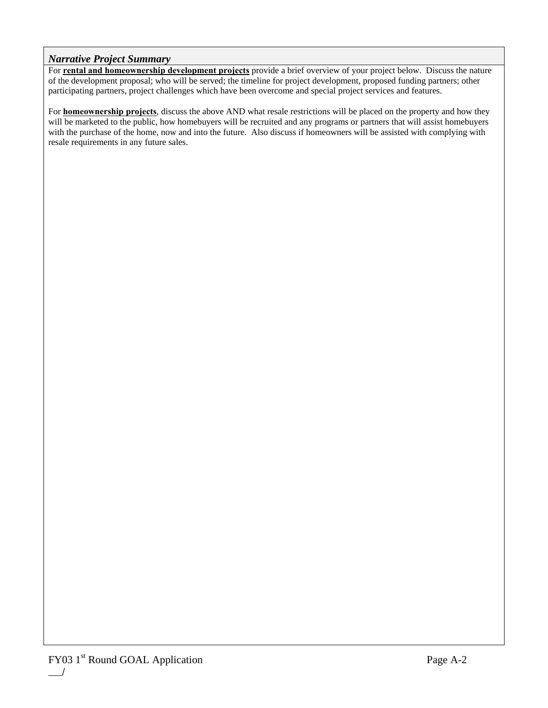#### *Narrative Project Summary*

For **rental and homeownership development projects** provide a brief overview of your project below. Discuss the nature of the development proposal; who will be served; the timeline for project development, proposed funding partners; other participating partners, project challenges which have been overcome and special project services and features.

For **homeownership projects**, discuss the above AND what resale restrictions will be placed on the property and how they will be marketed to the public, how homebuyers will be recruited and any programs or partners that will assist homebuyers with the purchase of the home, now and into the future. Also discuss if homeowners will be assisted with complying with resale requirements in any future sales.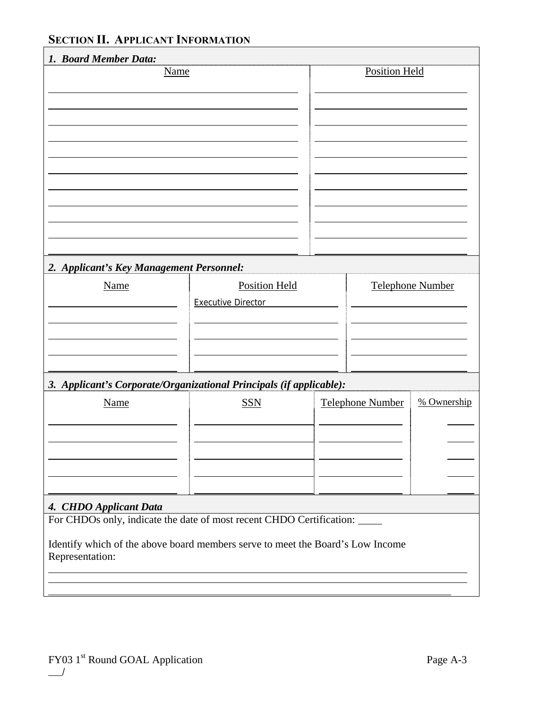# **SECTION II. APPLICANT INFORMATION**

| 1. Board Member Data:                                                                                                                                                     |                           |                         |                  |
|---------------------------------------------------------------------------------------------------------------------------------------------------------------------------|---------------------------|-------------------------|------------------|
| <b>Name</b>                                                                                                                                                               |                           | <b>Position Held</b>    |                  |
| 2. Applicant's Key Management Personnel:<br><b>Name</b>                                                                                                                   | <b>Position Held</b>      |                         | Telephone Number |
|                                                                                                                                                                           | <b>Executive Director</b> |                         |                  |
| 3. Applicant's Corporate/Organizational Principals (if applicable):                                                                                                       |                           |                         |                  |
| <b>Name</b>                                                                                                                                                               | <b>SSN</b>                | <b>Telephone Number</b> | % Ownership      |
| 4. CHDO Applicant Data                                                                                                                                                    |                           |                         |                  |
| For CHDOs only, indicate the date of most recent CHDO Certification:<br>Identify which of the above board members serve to meet the Board's Low Income<br>Representation: |                           |                         |                  |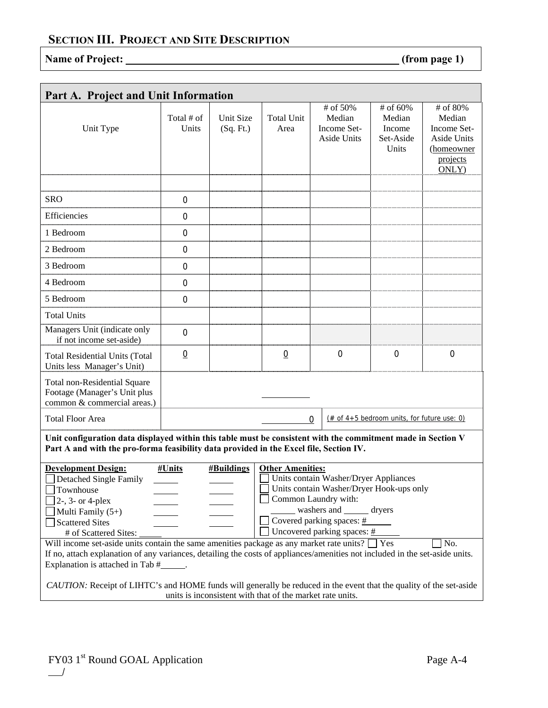# Name of Project: <u>(from</u> page 1)

| Part A. Project and Unit Information                                                                                                                                                                                                                                                                                                                                                                   |                     |                        |                                                           |                  |                                                                                                                                     |                                                    |                                                                                     |
|--------------------------------------------------------------------------------------------------------------------------------------------------------------------------------------------------------------------------------------------------------------------------------------------------------------------------------------------------------------------------------------------------------|---------------------|------------------------|-----------------------------------------------------------|------------------|-------------------------------------------------------------------------------------------------------------------------------------|----------------------------------------------------|-------------------------------------------------------------------------------------|
| Unit Type                                                                                                                                                                                                                                                                                                                                                                                              | Total # of<br>Units | Unit Size<br>(Sq. Ft.) | <b>Total Unit</b><br>Area                                 |                  | # of 50%<br>Median<br>Income Set-<br>Aside Units                                                                                    | # of 60%<br>Median<br>Income<br>Set-Aside<br>Units | # of 80%<br>Median<br>Income Set-<br>Aside Units<br>(homeowner<br>projects<br>ONLY) |
| <b>SRO</b>                                                                                                                                                                                                                                                                                                                                                                                             | 0                   |                        |                                                           |                  |                                                                                                                                     |                                                    |                                                                                     |
| Efficiencies                                                                                                                                                                                                                                                                                                                                                                                           | $\mathbf 0$         |                        |                                                           |                  |                                                                                                                                     |                                                    |                                                                                     |
| 1 Bedroom                                                                                                                                                                                                                                                                                                                                                                                              | 0                   |                        |                                                           |                  |                                                                                                                                     |                                                    |                                                                                     |
|                                                                                                                                                                                                                                                                                                                                                                                                        |                     |                        |                                                           |                  |                                                                                                                                     |                                                    |                                                                                     |
| 2 Bedroom                                                                                                                                                                                                                                                                                                                                                                                              | $\Omega$            |                        |                                                           |                  |                                                                                                                                     |                                                    |                                                                                     |
| 3 Bedroom                                                                                                                                                                                                                                                                                                                                                                                              | $\overline{0}$      |                        |                                                           |                  |                                                                                                                                     |                                                    |                                                                                     |
| 4 Bedroom                                                                                                                                                                                                                                                                                                                                                                                              | $\mathbf 0$         |                        |                                                           |                  |                                                                                                                                     |                                                    |                                                                                     |
| 5 Bedroom                                                                                                                                                                                                                                                                                                                                                                                              | $\mathbf 0$         |                        |                                                           |                  |                                                                                                                                     |                                                    |                                                                                     |
| <b>Total Units</b>                                                                                                                                                                                                                                                                                                                                                                                     |                     |                        |                                                           |                  |                                                                                                                                     |                                                    |                                                                                     |
| Managers Unit (indicate only<br>if not income set-aside)                                                                                                                                                                                                                                                                                                                                               | $\mathbf 0$         |                        |                                                           |                  |                                                                                                                                     |                                                    |                                                                                     |
| <b>Total Residential Units (Total</b><br>Units less Manager's Unit)                                                                                                                                                                                                                                                                                                                                    | $\overline{0}$      |                        | $\underline{0}$                                           |                  | $\mathbf 0$                                                                                                                         | $\mathbf 0$                                        | $\mathbf 0$                                                                         |
| <b>Total non-Residential Square</b><br>Footage (Manager's Unit plus<br>common & commercial areas.)                                                                                                                                                                                                                                                                                                     |                     |                        |                                                           |                  |                                                                                                                                     |                                                    |                                                                                     |
| <b>Total Floor Area</b>                                                                                                                                                                                                                                                                                                                                                                                |                     |                        |                                                           | $\boldsymbol{0}$ |                                                                                                                                     | $#$ of 4+5 bedroom units, for future use: 0)       |                                                                                     |
| Unit configuration data displayed within this table must be consistent with the commitment made in Section V<br>Part A and with the pro-forma feasibility data provided in the Excel file, Section IV.                                                                                                                                                                                                 |                     |                        |                                                           |                  |                                                                                                                                     |                                                    |                                                                                     |
| <b>Development Design:</b><br>Detached Single Family<br>Townhouse<br>2-, 3- or 4-plex<br>Multi Family $(5+)$<br><b>Scattered Sites</b><br># of Scattered Sites:<br>Will income set-aside units contain the same amenities package as any market rate units? $\Box$ Yes<br>If no, attach explanation of any variances, detailing the costs of appliances/amenities not included in the set-aside units. | #Units              | <b>#Buildings</b>      | <b>Other Amenities:</b><br>Common Laundry with:           |                  | Units contain Washer/Dryer Appliances<br>washers and _______ dryers<br>Covered parking spaces: $#$<br>Uncovered parking spaces: $#$ | J Units contain Washer/Dryer Hook-ups only         | No.                                                                                 |
| Explanation is attached in Tab #______.<br>CAUTION: Receipt of LIHTC's and HOME funds will generally be reduced in the event that the quality of the set-aside                                                                                                                                                                                                                                         |                     |                        | units is inconsistent with that of the market rate units. |                  |                                                                                                                                     |                                                    |                                                                                     |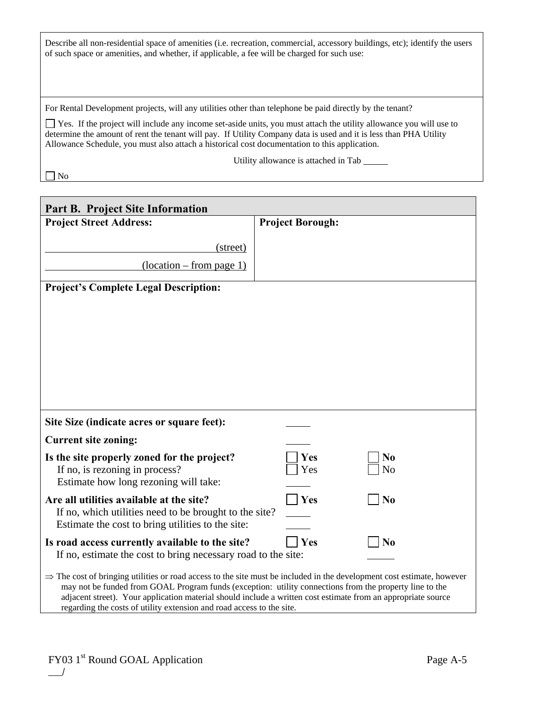Describe all non-residential space of amenities (i.e. recreation, commercial, accessory buildings, etc); identify the users of such space or amenities, and whether, if applicable, a fee will be charged for such use:

For Rental Development projects, will any utilities other than telephone be paid directly by the tenant?

 Yes. If the project will include any income set-aside units, you must attach the utility allowance you will use to determine the amount of rent the tenant will pay. If Utility Company data is used and it is less than PHA Utility Allowance Schedule, you must also attach a historical cost documentation to this application.

Utility allowance is attached in Tab

No

| <b>Part B. Project Site Information</b>                                                                                                                                          |                                                                                                                                                                                                                                                     |
|----------------------------------------------------------------------------------------------------------------------------------------------------------------------------------|-----------------------------------------------------------------------------------------------------------------------------------------------------------------------------------------------------------------------------------------------------|
| <b>Project Street Address:</b>                                                                                                                                                   | <b>Project Borough:</b>                                                                                                                                                                                                                             |
| (street)                                                                                                                                                                         |                                                                                                                                                                                                                                                     |
| $(location - from page 1)$                                                                                                                                                       |                                                                                                                                                                                                                                                     |
|                                                                                                                                                                                  |                                                                                                                                                                                                                                                     |
| <b>Project's Complete Legal Description:</b>                                                                                                                                     |                                                                                                                                                                                                                                                     |
|                                                                                                                                                                                  |                                                                                                                                                                                                                                                     |
|                                                                                                                                                                                  |                                                                                                                                                                                                                                                     |
|                                                                                                                                                                                  |                                                                                                                                                                                                                                                     |
|                                                                                                                                                                                  |                                                                                                                                                                                                                                                     |
|                                                                                                                                                                                  |                                                                                                                                                                                                                                                     |
|                                                                                                                                                                                  |                                                                                                                                                                                                                                                     |
|                                                                                                                                                                                  |                                                                                                                                                                                                                                                     |
| Site Size (indicate acres or square feet):                                                                                                                                       |                                                                                                                                                                                                                                                     |
| <b>Current site zoning:</b>                                                                                                                                                      |                                                                                                                                                                                                                                                     |
| Is the site properly zoned for the project?<br>If no, is rezoning in process?                                                                                                    | Yes<br>N <sub>0</sub><br>Yes<br>N <sub>o</sub>                                                                                                                                                                                                      |
| Estimate how long rezoning will take:                                                                                                                                            |                                                                                                                                                                                                                                                     |
| Are all utilities available at the site?                                                                                                                                         | Yes<br>N <sub>0</sub>                                                                                                                                                                                                                               |
| If no, which utilities need to be brought to the site?                                                                                                                           |                                                                                                                                                                                                                                                     |
| Estimate the cost to bring utilities to the site:                                                                                                                                |                                                                                                                                                                                                                                                     |
| Is road access currently available to the site?                                                                                                                                  | Yes<br>N <sub>0</sub>                                                                                                                                                                                                                               |
| If no, estimate the cost to bring necessary road to the site:                                                                                                                    |                                                                                                                                                                                                                                                     |
| may not be funded from GOAL Program funds (exception: utility connections from the property line to the<br>regarding the costs of utility extension and road access to the site. | $\Rightarrow$ The cost of bringing utilities or road access to the site must be included in the development cost estimate, however<br>adjacent street). Your application material should include a written cost estimate from an appropriate source |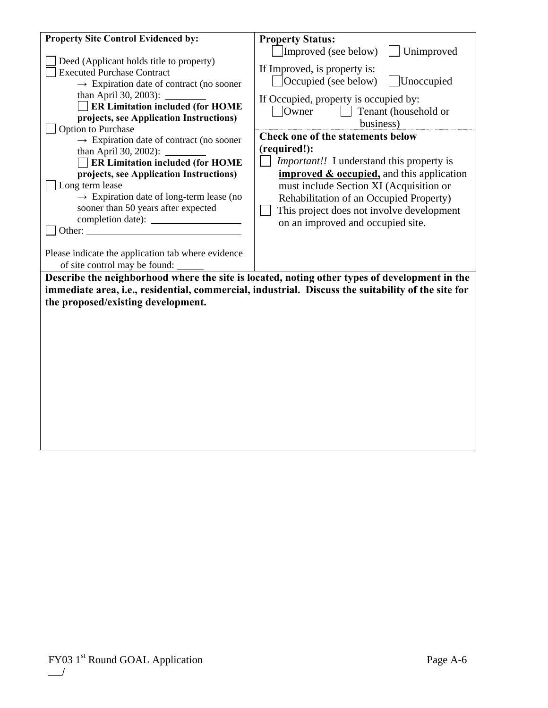| <b>Property Site Control Evidenced by:</b>           | <b>Property Status:</b>                                                                            |
|------------------------------------------------------|----------------------------------------------------------------------------------------------------|
|                                                      | $\Box$ Improved (see below)<br>$\Box$ Unimproved                                                   |
| Deed (Applicant holds title to property)             |                                                                                                    |
| <b>Executed Purchase Contract</b>                    | If Improved, is property is:                                                                       |
| $\rightarrow$ Expiration date of contract (no sooner | Occupied (see below)<br>$\Box$ Unoccupied                                                          |
| than April 30, 2003):                                | If Occupied, property is occupied by:                                                              |
| ER Limitation included (for HOME                     | <b>Owner</b><br>Tenant (household or                                                               |
| projects, see Application Instructions)              |                                                                                                    |
| Option to Purchase                                   | business)                                                                                          |
| $\rightarrow$ Expiration date of contract (no sooner | <b>Check one of the statements below</b>                                                           |
| than April 30, 2002):                                | (required!):                                                                                       |
| <b>Solution 3</b> ER Limitation included (for HOME   | <i>Important!!</i> I understand this property is                                                   |
| projects, see Application Instructions)              | <b>improved &amp; occupied</b> , and this application                                              |
| Long term lease                                      | must include Section XI (Acquisition or                                                            |
| $\rightarrow$ Expiration date of long-term lease (no | Rehabilitation of an Occupied Property)                                                            |
| sooner than 50 years after expected                  | This project does not involve development                                                          |
|                                                      |                                                                                                    |
| Other:                                               | on an improved and occupied site.                                                                  |
|                                                      |                                                                                                    |
| Please indicate the application tab where evidence   |                                                                                                    |
| of site control may be found:                        |                                                                                                    |
|                                                      |                                                                                                    |
|                                                      | Describe the neighborhood where the site is located, noting other types of development in the      |
|                                                      | immediate area, i.e., residential, commercial, industrial. Discuss the suitability of the site for |
| the proposed/existing development.                   |                                                                                                    |
|                                                      |                                                                                                    |
|                                                      |                                                                                                    |
|                                                      |                                                                                                    |
|                                                      |                                                                                                    |
|                                                      |                                                                                                    |
|                                                      |                                                                                                    |
|                                                      |                                                                                                    |
|                                                      |                                                                                                    |
|                                                      |                                                                                                    |
|                                                      |                                                                                                    |
|                                                      |                                                                                                    |
|                                                      |                                                                                                    |
|                                                      |                                                                                                    |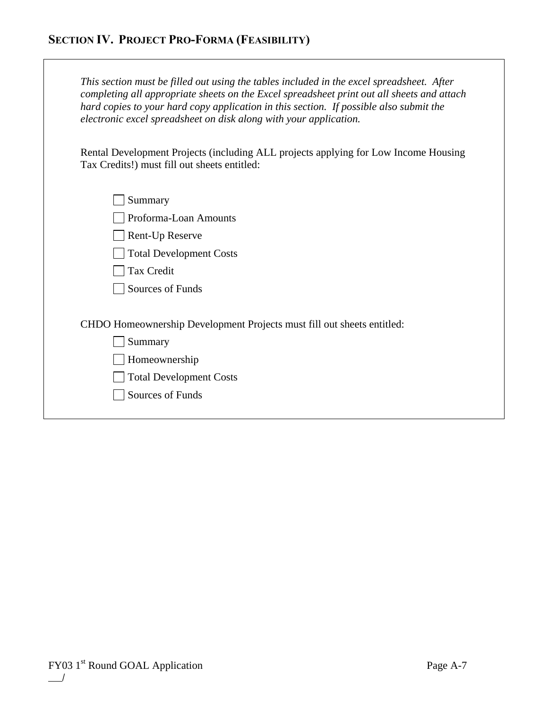| This section must be filled out using the tables included in the excel spreadsheet. After<br>completing all appropriate sheets on the Excel spreadsheet print out all sheets and attach<br>hard copies to your hard copy application in this section. If possible also submit the<br>electronic excel spreadsheet on disk along with your application. |
|--------------------------------------------------------------------------------------------------------------------------------------------------------------------------------------------------------------------------------------------------------------------------------------------------------------------------------------------------------|
| Rental Development Projects (including ALL projects applying for Low Income Housing<br>Tax Credits!) must fill out sheets entitled:                                                                                                                                                                                                                    |
| Summary                                                                                                                                                                                                                                                                                                                                                |
| Proforma-Loan Amounts                                                                                                                                                                                                                                                                                                                                  |
| Rent-Up Reserve                                                                                                                                                                                                                                                                                                                                        |
| <b>Total Development Costs</b>                                                                                                                                                                                                                                                                                                                         |
| <b>Tax Credit</b>                                                                                                                                                                                                                                                                                                                                      |
| Sources of Funds                                                                                                                                                                                                                                                                                                                                       |
| CHDO Homeownership Development Projects must fill out sheets entitled:                                                                                                                                                                                                                                                                                 |
| Summary                                                                                                                                                                                                                                                                                                                                                |
| Homeownership                                                                                                                                                                                                                                                                                                                                          |
| <b>Total Development Costs</b>                                                                                                                                                                                                                                                                                                                         |
| Sources of Funds                                                                                                                                                                                                                                                                                                                                       |
|                                                                                                                                                                                                                                                                                                                                                        |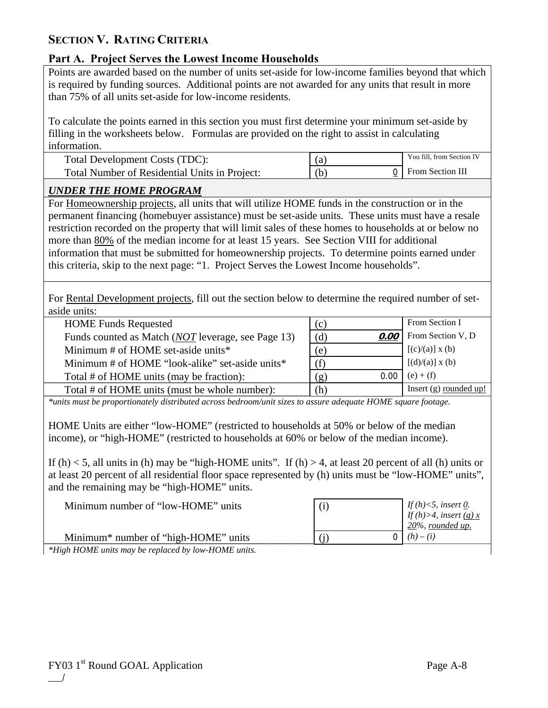### **SECTION V. RATING CRITERIA**

### **Part A. Project Serves the Lowest Income Households**

Points are awarded based on the number of units set-aside for low-income families beyond that which is required by funding sources. Additional points are not awarded for any units that result in more than 75% of all units set-aside for low-income residents.

To calculate the points earned in this section you must first determine your minimum set-aside by filling in the worksheets below. Formulas are provided on the right to assist in calculating information.

| Total Development Costs (TDC):                | a.  | You fill, from Section IV |
|-----------------------------------------------|-----|---------------------------|
| Total Number of Residential Units in Project: | (b) | From Section III          |

### *UNDER THE HOME PROGRAM*

For Homeownership projects, all units that will utilize HOME funds in the construction or in the permanent financing (homebuyer assistance) must be set-aside units. These units must have a resale restriction recorded on the property that will limit sales of these homes to households at or below no more than 80% of the median income for at least 15 years. See Section VIII for additional information that must be submitted for homeownership projects. To determine points earned under this criteria, skip to the next page: "1. Project Serves the Lowest Income households".

For Rental Development projects, fill out the section below to determine the required number of setaside units:

| <b>HOME Funds Requested</b>                                | (c) |      | From Section I           |
|------------------------------------------------------------|-----|------|--------------------------|
| Funds counted as Match ( <i>NOT</i> leverage, see Page 13) | (d) | 0.00 | From Section V, D        |
| Minimum $#$ of HOME set-aside units*                       | (e) |      | $[(c)/(a)] \times (b)$   |
| Minimum $\#$ of HOME "look-alike" set-aside units $*$      | (f) |      | $[(d)/(a)] \times (b)$   |
| Total # of HOME units (may be fraction):                   | (g) | 0.00 | $(e) + (f)$              |
| Total # of HOME units (must be whole number):              | (h) |      | Insert $(g)$ rounded up! |

*\*units must be proportionately distributed across bedroom/unit sizes to assure adequate HOME square footage.* 

HOME Units are either "low-HOME" (restricted to households at 50% or below of the median income), or "high-HOME" (restricted to households at 60% or below of the median income).

If (h)  $<$  5, all units in (h) may be "high-HOME units". If (h)  $>$  4, at least 20 percent of all (h) units or at least 20 percent of all residential floor space represented by (h) units must be "low-HOME" units", and the remaining may be "high-HOME" units.

| Minimum number of "low-HOME" units               | (i) | If (h)<5, insert $\underline{0}$ .<br>If (h)>4, insert <u>(g) x</u><br>20%, rounded up. |
|--------------------------------------------------|-----|-----------------------------------------------------------------------------------------|
| Minimum <sup>*</sup> number of "high-HOME" units |     | $(h) - (i)$                                                                             |
|                                                  |     |                                                                                         |

*\*High HOME units may be replaced by low-HOME units.*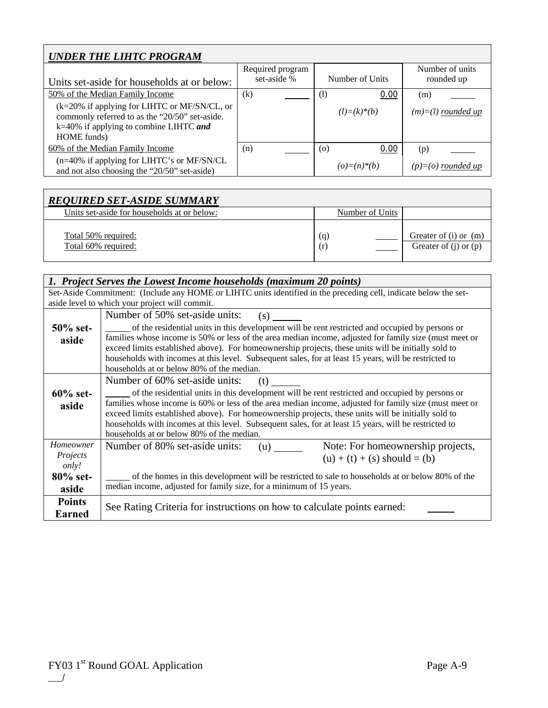| <b>UNDER THE LIHTC PROGRAM</b>                                                                                                                                |                  |                            |                       |
|---------------------------------------------------------------------------------------------------------------------------------------------------------------|------------------|----------------------------|-----------------------|
|                                                                                                                                                               | Required program |                            | Number of units       |
| Units set-aside for households at or below:                                                                                                                   | set-aside %      | Number of Units            | rounded up            |
| 50% of the Median Family Income                                                                                                                               | (k)              | 0.00<br>(1)                | (m)                   |
| $(k=20\%$ if applying for LIHTC or MF/SN/CL, or<br>commonly referred to as the "20/50" set-aside.<br>$k=40\%$ if applying to combine LIHTC and<br>HOME funds) |                  | $(l)=(k)*(b)$              | $(m)=(l)$ rounded up  |
| 60% of the Median Family Income                                                                                                                               | (n)              | 0.00<br>$\left( 0 \right)$ | (p)                   |
| $(n=40\%$ if applying for LIHTC's or MF/SN/CL<br>and not also choosing the "20/50" set-aside)                                                                 |                  | $(o)= (n) * (b)$           | $(p)= (o)$ rounded up |

| <b>REQUIRED SET-ASIDE SUMMARY</b>           |                 |                                                        |
|---------------------------------------------|-----------------|--------------------------------------------------------|
| Units set-aside for households at or below: | Number of Units |                                                        |
| Total 50% required:<br>Total 60% required:  | (q)<br>(r)      | Greater of $(i)$ or $(m)$<br>Greater of $(i)$ or $(p)$ |

|                  | 1. Project Serves the Lowest Income households (maximum 20 points)                                                                                                                                                                                                         |  |  |  |  |
|------------------|----------------------------------------------------------------------------------------------------------------------------------------------------------------------------------------------------------------------------------------------------------------------------|--|--|--|--|
|                  | Set-Aside Commitment: (Include any HOME or LIHTC units identified in the preceding cell, indicate below the set-                                                                                                                                                           |  |  |  |  |
|                  | aside level to which your project will commit.                                                                                                                                                                                                                             |  |  |  |  |
|                  | Number of 50% set-aside units:<br>(s)                                                                                                                                                                                                                                      |  |  |  |  |
| $50\%$ set-      | of the residential units in this development will be rent restricted and occupied by persons or                                                                                                                                                                            |  |  |  |  |
| aside            | families whose income is 50% or less of the area median income, adjusted for family size (must meet or                                                                                                                                                                     |  |  |  |  |
|                  | exceed limits established above). For homeownership projects, these units will be initially sold to                                                                                                                                                                        |  |  |  |  |
|                  | households with incomes at this level. Subsequent sales, for at least 15 years, will be restricted to                                                                                                                                                                      |  |  |  |  |
|                  | households at or below 80% of the median.                                                                                                                                                                                                                                  |  |  |  |  |
|                  | Number of 60% set-aside units:<br>(t)<br>$60\%$ set-<br>of the residential units in this development will be rent restricted and occupied by persons or<br>families whose income is 60% or less of the area median income, adjusted for family size (must meet or<br>aside |  |  |  |  |
|                  |                                                                                                                                                                                                                                                                            |  |  |  |  |
|                  |                                                                                                                                                                                                                                                                            |  |  |  |  |
|                  | exceed limits established above). For homeownership projects, these units will be initially sold to                                                                                                                                                                        |  |  |  |  |
|                  | households with incomes at this level. Subsequent sales, for at least 15 years, will be restricted to<br>households at or below 80% of the median.                                                                                                                         |  |  |  |  |
| <b>Homeowner</b> | Note: For homeownership projects,<br>Number of 80% set-aside units:                                                                                                                                                                                                        |  |  |  |  |
| Projects         | (u)<br>$(u) + (t) + (s)$ should = (b)                                                                                                                                                                                                                                      |  |  |  |  |
| only!            |                                                                                                                                                                                                                                                                            |  |  |  |  |
| $80\%$ set-      | of the homes in this development will be restricted to sale to households at or below 80% of the                                                                                                                                                                           |  |  |  |  |
| aside            | median income, adjusted for family size, for a minimum of 15 years.                                                                                                                                                                                                        |  |  |  |  |
| <b>Points</b>    | See Rating Criteria for instructions on how to calculate points earned:                                                                                                                                                                                                    |  |  |  |  |
| <b>Earned</b>    |                                                                                                                                                                                                                                                                            |  |  |  |  |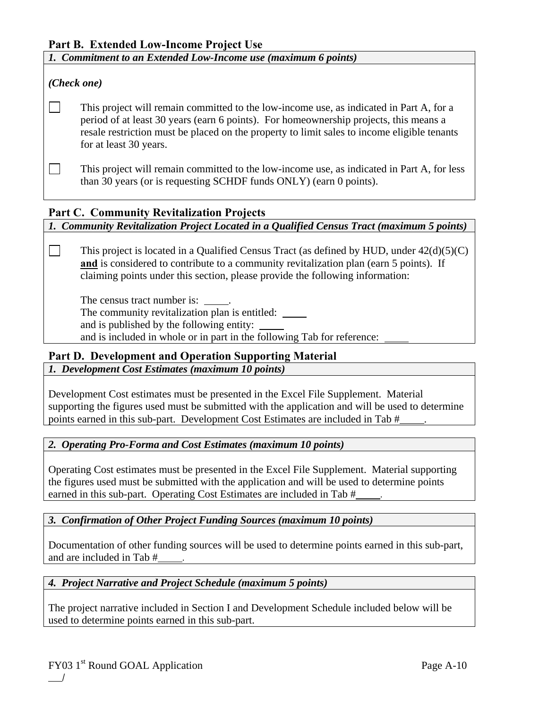### **Part B. Extended Low-Income Project Use**

*1. Commitment to an Extended Low-Income use (maximum 6 points)* 

### *(Check one)*

 This project will remain committed to the low-income use, as indicated in Part A, for a period of at least 30 years (earn 6 points). For homeownership projects, this means a resale restriction must be placed on the property to limit sales to income eligible tenants for at least 30 years.

 $\Box$  This project will remain committed to the low-income use, as indicated in Part A, for less than 30 years (or is requesting SCHDF funds ONLY) (earn 0 points).

### **Part C. Community Revitalization Projects**

*1. Community Revitalization Project Located in a Qualified Census Tract (maximum 5 points)* 

This project is located in a Qualified Census Tract (as defined by HUD, under  $42(d)(5)(C)$ ) **and** is considered to contribute to a community revitalization plan (earn 5 points). If claiming points under this section, please provide the following information:

The census tract number is: The community revitalization plan is entitled: and is published by the following entity: and is included in whole or in part in the following Tab for reference:

# **Part D. Development and Operation Supporting Material**

*1. Development Cost Estimates (maximum 10 points)* 

Development Cost estimates must be presented in the Excel File Supplement. Material supporting the figures used must be submitted with the application and will be used to determine points earned in this sub-part. Development Cost Estimates are included in Tab # .

### *2. Operating Pro-Forma and Cost Estimates (maximum 10 points)*

Operating Cost estimates must be presented in the Excel File Supplement. Material supporting the figures used must be submitted with the application and will be used to determine points earned in this sub-part. Operating Cost Estimates are included in Tab  $#$ 

### *3. Confirmation of Other Project Funding Sources (maximum 10 points)*

Documentation of other funding sources will be used to determine points earned in this sub-part, and are included in Tab #

### *4. Project Narrative and Project Schedule (maximum 5 points)*

The project narrative included in Section I and Development Schedule included below will be used to determine points earned in this sub-part.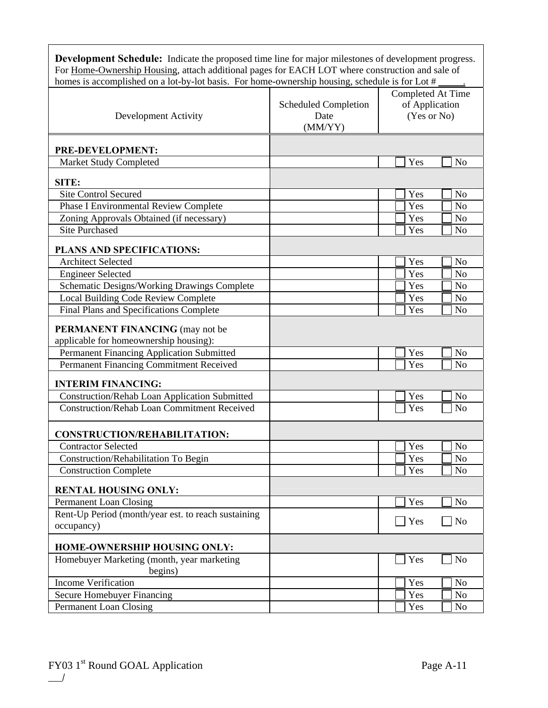| <b>Development Schedule:</b> Indicate the proposed time line for major milestones of development progress.<br>For Home-Ownership Housing, attach additional pages for EACH LOT where construction and sale of |                                                |                                                    |  |
|---------------------------------------------------------------------------------------------------------------------------------------------------------------------------------------------------------------|------------------------------------------------|----------------------------------------------------|--|
| homes is accomplished on a lot-by-lot basis. For home-ownership housing, schedule is for Lot #                                                                                                                |                                                |                                                    |  |
| Development Activity                                                                                                                                                                                          | <b>Scheduled Completion</b><br>Date<br>(MM/YY) | Completed At Time<br>of Application<br>(Yes or No) |  |
|                                                                                                                                                                                                               |                                                |                                                    |  |
| PRE-DEVELOPMENT:                                                                                                                                                                                              |                                                | Yes<br>N <sub>o</sub>                              |  |
| Market Study Completed                                                                                                                                                                                        |                                                |                                                    |  |
| SITE:                                                                                                                                                                                                         |                                                |                                                    |  |
| <b>Site Control Secured</b>                                                                                                                                                                                   |                                                | Yes<br>N <sub>o</sub>                              |  |
| <b>Phase I Environmental Review Complete</b>                                                                                                                                                                  |                                                | Yes<br>N <sub>o</sub>                              |  |
| Zoning Approvals Obtained (if necessary)                                                                                                                                                                      |                                                | Yes<br>N <sub>o</sub>                              |  |
| <b>Site Purchased</b>                                                                                                                                                                                         |                                                | Yes<br>N <sub>0</sub>                              |  |
| PLANS AND SPECIFICATIONS:                                                                                                                                                                                     |                                                |                                                    |  |
| <b>Architect Selected</b>                                                                                                                                                                                     |                                                | Yes<br>N <sub>o</sub>                              |  |
| <b>Engineer Selected</b>                                                                                                                                                                                      |                                                | Yes<br>N <sub>o</sub>                              |  |
| Schematic Designs/Working Drawings Complete                                                                                                                                                                   |                                                | Yes<br>N <sub>o</sub>                              |  |
| Local Building Code Review Complete                                                                                                                                                                           |                                                | Yes<br>N <sub>o</sub>                              |  |
| Final Plans and Specifications Complete                                                                                                                                                                       |                                                | Yes<br>N <sub>o</sub>                              |  |
| <b>PERMANENT FINANCING</b> (may not be<br>applicable for homeownership housing):                                                                                                                              |                                                |                                                    |  |
| Permanent Financing Application Submitted                                                                                                                                                                     |                                                | Yes<br>N <sub>o</sub>                              |  |
| Permanent Financing Commitment Received                                                                                                                                                                       |                                                | Yes<br>No                                          |  |
| <b>INTERIM FINANCING:</b>                                                                                                                                                                                     |                                                |                                                    |  |
| <b>Construction/Rehab Loan Application Submitted</b>                                                                                                                                                          |                                                | Yes<br>N <sub>o</sub>                              |  |
| <b>Construction/Rehab Loan Commitment Received</b>                                                                                                                                                            |                                                | Yes<br>N <sub>o</sub>                              |  |
|                                                                                                                                                                                                               |                                                |                                                    |  |
| CONSTRUCTION/REHABILITATION:                                                                                                                                                                                  |                                                |                                                    |  |
| <b>Contractor Selected</b>                                                                                                                                                                                    |                                                | Yes<br>No                                          |  |
| Construction/Rehabilitation To Begin                                                                                                                                                                          |                                                | Yes<br>N <sub>o</sub>                              |  |
| <b>Construction Complete</b>                                                                                                                                                                                  |                                                | Yes<br>No                                          |  |
| <b>RENTAL HOUSING ONLY:</b>                                                                                                                                                                                   |                                                |                                                    |  |
| <b>Permanent Loan Closing</b>                                                                                                                                                                                 |                                                | Yes<br>N <sub>o</sub>                              |  |
| Rent-Up Period (month/year est. to reach sustaining                                                                                                                                                           |                                                |                                                    |  |
| occupancy)                                                                                                                                                                                                    |                                                | Yes<br>N <sub>o</sub>                              |  |
| HOME-OWNERSHIP HOUSING ONLY:                                                                                                                                                                                  |                                                |                                                    |  |
| Homebuyer Marketing (month, year marketing                                                                                                                                                                    |                                                | Yes<br>N <sub>o</sub>                              |  |
| begins)                                                                                                                                                                                                       |                                                |                                                    |  |
| <b>Income Verification</b>                                                                                                                                                                                    |                                                | Yes<br>N <sub>o</sub>                              |  |
| Secure Homebuyer Financing                                                                                                                                                                                    |                                                | Yes<br>N <sub>o</sub>                              |  |
| <b>Permanent Loan Closing</b>                                                                                                                                                                                 |                                                | Yes<br>No                                          |  |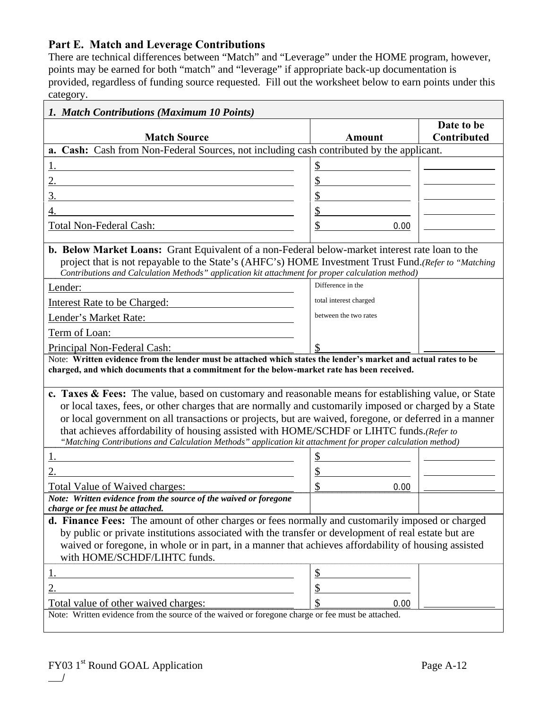### **Part E. Match and Leverage Contributions**

There are technical differences between "Match" and "Leverage" under the HOME program, however, points may be earned for both "match" and "leverage" if appropriate back-up documentation is provided, regardless of funding source requested. Fill out the worksheet below to earn points under this category.

|                                                                                                                                                                                                                                                                                                                                                                                                                      |                        | Date to be  |
|----------------------------------------------------------------------------------------------------------------------------------------------------------------------------------------------------------------------------------------------------------------------------------------------------------------------------------------------------------------------------------------------------------------------|------------------------|-------------|
| <b>Match Source</b>                                                                                                                                                                                                                                                                                                                                                                                                  | <b>Amount</b>          | Contributed |
| a. Cash: Cash from Non-Federal Sources, not including cash contributed by the applicant.                                                                                                                                                                                                                                                                                                                             |                        |             |
|                                                                                                                                                                                                                                                                                                                                                                                                                      | \$                     |             |
|                                                                                                                                                                                                                                                                                                                                                                                                                      | \$                     |             |
| 3.                                                                                                                                                                                                                                                                                                                                                                                                                   | \$                     |             |
|                                                                                                                                                                                                                                                                                                                                                                                                                      | \$                     |             |
| <b>Total Non-Federal Cash:</b>                                                                                                                                                                                                                                                                                                                                                                                       | \$<br>0.00             |             |
| b. Below Market Loans: Grant Equivalent of a non-Federal below-market interest rate loan to the<br>project that is not repayable to the State's (AHFC's) HOME Investment Trust Fund.(Refer to "Matching<br>Contributions and Calculation Methods" application kit attachment for proper calculation method)                                                                                                          |                        |             |
| Lender:                                                                                                                                                                                                                                                                                                                                                                                                              | Difference in the      |             |
| Interest Rate to be Charged:                                                                                                                                                                                                                                                                                                                                                                                         | total interest charged |             |
| Lender's Market Rate:                                                                                                                                                                                                                                                                                                                                                                                                | between the two rates  |             |
| Term of Loan:                                                                                                                                                                                                                                                                                                                                                                                                        |                        |             |
| Principal Non-Federal Cash:                                                                                                                                                                                                                                                                                                                                                                                          | \$                     |             |
| c. Taxes & Fees: The value, based on customary and reasonable means for establishing value, or State<br>or local taxes, fees, or other charges that are normally and customarily imposed or charged by a State<br>or local government on all transactions or projects, but are waived, foregone, or deferred in a manner<br>that achieves affordability of housing assisted with HOME/SCHDF or LIHTC funds.(Refer to |                        |             |
| "Matching Contributions and Calculation Methods" application kit attachment for proper calculation method)                                                                                                                                                                                                                                                                                                           |                        |             |
|                                                                                                                                                                                                                                                                                                                                                                                                                      | \$                     |             |
|                                                                                                                                                                                                                                                                                                                                                                                                                      |                        |             |
| Total Value of Waived charges:                                                                                                                                                                                                                                                                                                                                                                                       | \$                     |             |
| Note: Written evidence from the source of the waived or foregone<br>charge or fee must be attached.                                                                                                                                                                                                                                                                                                                  | \$<br>0.00             |             |
| d. Finance Fees: The amount of other charges or fees normally and customarily imposed or charged                                                                                                                                                                                                                                                                                                                     |                        |             |
| by public or private institutions associated with the transfer or development of real estate but are                                                                                                                                                                                                                                                                                                                 |                        |             |
| waived or foregone, in whole or in part, in a manner that achieves affordability of housing assisted<br>with HOME/SCHDF/LIHTC funds.                                                                                                                                                                                                                                                                                 |                        |             |
|                                                                                                                                                                                                                                                                                                                                                                                                                      | <u>\$</u>              |             |
|                                                                                                                                                                                                                                                                                                                                                                                                                      |                        |             |
|                                                                                                                                                                                                                                                                                                                                                                                                                      |                        |             |
| Total value of other waived charges:                                                                                                                                                                                                                                                                                                                                                                                 | \$<br>\$<br>0.00       |             |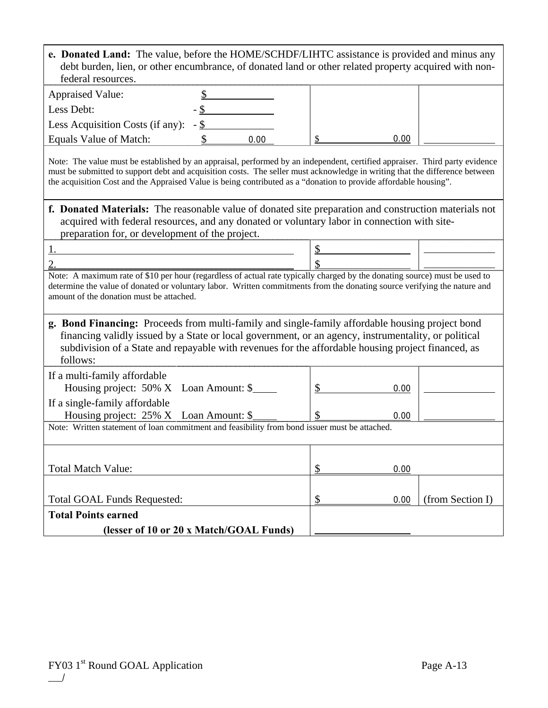| e. Donated Land: The value, before the HOME/SCHDF/LIHTC assistance is provided and minus any<br>debt burden, lien, or other encumbrance, of donated land or other related property acquired with non-<br>federal resources.                                                                                                                                                    |               |      |               |      |                  |
|--------------------------------------------------------------------------------------------------------------------------------------------------------------------------------------------------------------------------------------------------------------------------------------------------------------------------------------------------------------------------------|---------------|------|---------------|------|------------------|
| <b>Appraised Value:</b>                                                                                                                                                                                                                                                                                                                                                        |               |      |               |      |                  |
| Less Debt:                                                                                                                                                                                                                                                                                                                                                                     | $\mathcal{S}$ |      |               |      |                  |
| Less Acquisition Costs (if any): $-\underline{\$}$                                                                                                                                                                                                                                                                                                                             |               |      |               |      |                  |
| Equals Value of Match:                                                                                                                                                                                                                                                                                                                                                         | \$            | 0.00 |               | 0.00 |                  |
| Note: The value must be established by an appraisal, performed by an independent, certified appraiser. Third party evidence<br>must be submitted to support debt and acquisition costs. The seller must acknowledge in writing that the difference between<br>the acquisition Cost and the Appraised Value is being contributed as a "donation to provide affordable housing". |               |      |               |      |                  |
| f. Donated Materials: The reasonable value of donated site preparation and construction materials not<br>acquired with federal resources, and any donated or voluntary labor in connection with site-<br>preparation for, or development of the project.                                                                                                                       |               |      |               |      |                  |
|                                                                                                                                                                                                                                                                                                                                                                                |               |      | \$            |      |                  |
| 2.                                                                                                                                                                                                                                                                                                                                                                             |               |      |               |      |                  |
| Note: A maximum rate of \$10 per hour (regardless of actual rate typically charged by the donating source) must be used to<br>determine the value of donated or voluntary labor. Written commitments from the donating source verifying the nature and<br>amount of the donation must be attached.                                                                             |               |      |               |      |                  |
| g. Bond Financing: Proceeds from multi-family and single-family affordable housing project bond<br>financing validly issued by a State or local government, or an agency, instrumentality, or political<br>subdivision of a State and repayable with revenues for the affordable housing project financed, as<br>follows:                                                      |               |      |               |      |                  |
| If a multi-family affordable                                                                                                                                                                                                                                                                                                                                                   |               |      |               |      |                  |
| Housing project: 50% X Loan Amount: \$                                                                                                                                                                                                                                                                                                                                         |               |      | \$            | 0.00 |                  |
| If a single-family affordable                                                                                                                                                                                                                                                                                                                                                  |               |      |               |      |                  |
| Housing project: 25% X Loan Amount: \$                                                                                                                                                                                                                                                                                                                                         |               |      |               | 0.00 |                  |
| Note: Written statement of loan commitment and feasibility from bond issuer must be attached.                                                                                                                                                                                                                                                                                  |               |      |               |      |                  |
|                                                                                                                                                                                                                                                                                                                                                                                |               |      |               |      |                  |
| <b>Total Match Value:</b>                                                                                                                                                                                                                                                                                                                                                      |               |      | $\frac{1}{2}$ | 0.00 |                  |
|                                                                                                                                                                                                                                                                                                                                                                                |               |      |               |      |                  |
| <b>Total GOAL Funds Requested:</b>                                                                                                                                                                                                                                                                                                                                             |               |      | \$            | 0.00 | (from Section I) |
| <b>Total Points earned</b>                                                                                                                                                                                                                                                                                                                                                     |               |      |               |      |                  |
| (lesser of 10 or 20 x Match/GOAL Funds)                                                                                                                                                                                                                                                                                                                                        |               |      |               |      |                  |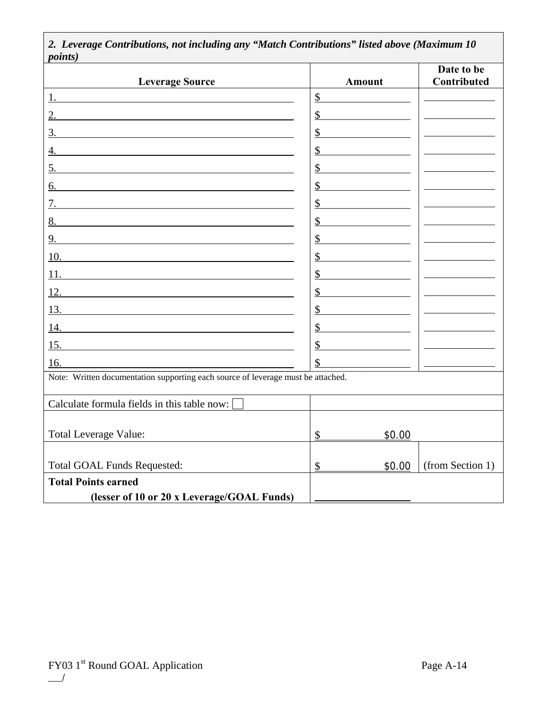| <i>points</i> )                                                                                                                                                                       |                           |        |                           |
|---------------------------------------------------------------------------------------------------------------------------------------------------------------------------------------|---------------------------|--------|---------------------------|
| <b>Leverage Source</b>                                                                                                                                                                | <b>Amount</b>             |        | Date to be<br>Contributed |
| 1.                                                                                                                                                                                    | \$                        |        |                           |
| 2.<br><u> 1980 - Johann Barn, mars ann an t-Amhain Aonaich an t-Aonaich an t-Aonaich ann an t-Aonaich ann an t-Aonaich</u>                                                            | \$                        |        |                           |
| 3.                                                                                                                                                                                    | \$                        |        |                           |
| 4.                                                                                                                                                                                    | \$                        |        |                           |
| 5.                                                                                                                                                                                    | \$                        |        |                           |
| 6.                                                                                                                                                                                    | \$                        |        |                           |
|                                                                                                                                                                                       | \$                        |        |                           |
| 8.                                                                                                                                                                                    | \$                        |        |                           |
| 9.                                                                                                                                                                                    | $\frac{6}{5}$             |        |                           |
|                                                                                                                                                                                       | \$                        |        |                           |
|                                                                                                                                                                                       | \$                        |        |                           |
| 12. $\qquad \qquad$                                                                                                                                                                   | \$                        |        |                           |
|                                                                                                                                                                                       | \$                        |        |                           |
| 14.<br><u> 1989 - Johann Barbara, martxa alemaniar amerikan basar da da a shekara 1980 - Andrew Santa Barbara, a shekar</u>                                                           | \$                        |        |                           |
| 15.<br><u> 1980 - Johann Barn, fransk politik (d. 1980)</u>                                                                                                                           | \$                        |        |                           |
| 16.                                                                                                                                                                                   | \$                        |        |                           |
| 16. Solution 1.5 Section 1.5 Section 1.5 Section 1.5 Section 1.5 Section 1.5 Section 1.5 Section 1.5 Note: Written documentation supporting each source of leverage must be attached. |                           |        |                           |
| Calculate formula fields in this table now:                                                                                                                                           |                           |        |                           |
|                                                                                                                                                                                       |                           |        |                           |
| <b>Total Leverage Value:</b>                                                                                                                                                          | $\frac{1}{2}$             | \$0.00 |                           |
|                                                                                                                                                                                       |                           |        |                           |
| <b>Total GOAL Funds Requested:</b>                                                                                                                                                    | $\boldsymbol{\mathsf{S}}$ | \$0.00 | (from Section 1)          |
| <b>Total Points earned</b>                                                                                                                                                            |                           |        |                           |
| (lesser of 10 or 20 x Leverage/GOAL Funds)                                                                                                                                            |                           |        |                           |

*2. Leverage Contributions, not including any "Match Contributions" listed above (Maximum 10*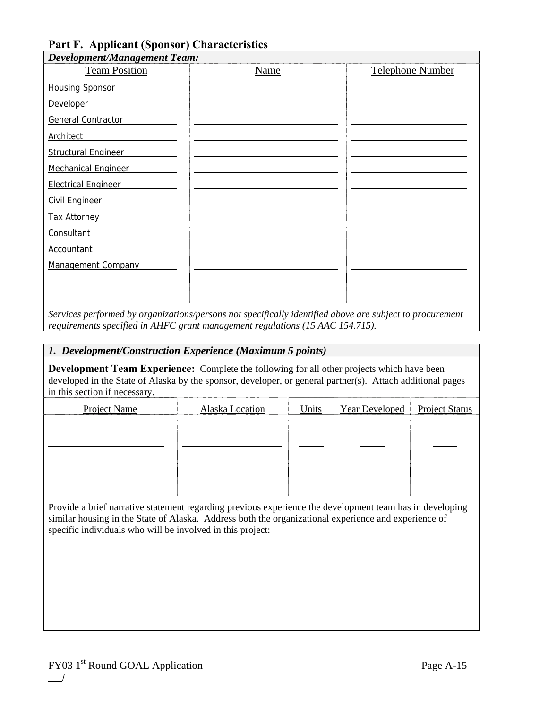### **Part F. Applicant (Sponsor) Characteristics**

| <b>Team Position</b>       | Name | Telephone Number |
|----------------------------|------|------------------|
| <b>Housing Sponsor</b>     |      |                  |
| <b>Developer</b>           |      |                  |
| General Contractor         |      |                  |
| Architect                  |      |                  |
| <b>Structural Engineer</b> |      |                  |
| <b>Mechanical Engineer</b> |      |                  |
| <b>Electrical Engineer</b> |      |                  |
| <b>Civil Engineer</b>      |      |                  |
| <b>Tax Attorney</b>        |      |                  |
| Consultant                 |      |                  |
| <b>Accountant</b>          |      |                  |
| Management Company         |      |                  |
|                            |      |                  |
|                            |      |                  |

*Services performed by organizations/persons not specifically identified above are subject to procurement requirements specified in AHFC grant management regulations (15 AAC 154.715).* 

### *1. Development/Construction Experience (Maximum 5 points)*

**Development Team Experience:** Complete the following for all other projects which have been developed in the State of Alaska by the sponsor, developer, or general partner(s). Attach additional pages in this section if necessary.

| <b>Project Name</b> | Alaska Location | Units | Year Developed   Project Status |  |
|---------------------|-----------------|-------|---------------------------------|--|
|                     |                 |       |                                 |  |
|                     |                 |       |                                 |  |
|                     |                 |       |                                 |  |
|                     |                 |       |                                 |  |
|                     |                 |       |                                 |  |

Provide a brief narrative statement regarding previous experience the development team has in developing similar housing in the State of Alaska. Address both the organizational experience and experience of specific individuals who will be involved in this project: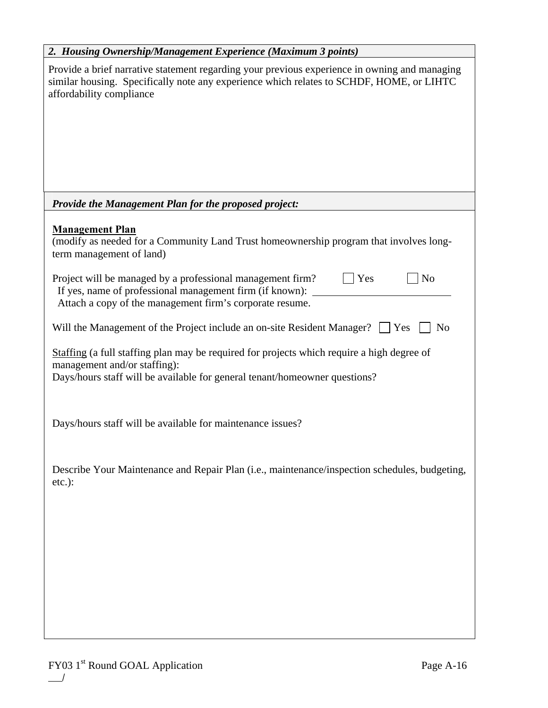| 2. Housing Ownership/Management Experience (Maximum 3 points)                                                                                                                                                         |
|-----------------------------------------------------------------------------------------------------------------------------------------------------------------------------------------------------------------------|
| Provide a brief narrative statement regarding your previous experience in owning and managing<br>similar housing. Specifically note any experience which relates to SCHDF, HOME, or LIHTC<br>affordability compliance |
|                                                                                                                                                                                                                       |
| Provide the Management Plan for the proposed project:                                                                                                                                                                 |
| <b>Management Plan</b><br>(modify as needed for a Community Land Trust homeownership program that involves long-<br>term management of land)                                                                          |
| Project will be managed by a professional management firm?<br>$ N_0$<br>Yes<br>If yes, name of professional management firm (if known):<br>Attach a copy of the management firm's corporate resume.                   |
| Will the Management of the Project include an on-site Resident Manager? $\Box$ Yes<br>N <sub>o</sub>                                                                                                                  |
| Staffing (a full staffing plan may be required for projects which require a high degree of<br>management and/or staffing):<br>Days/hours staff will be available for general tenant/homeowner questions?              |
| Days/hours staff will be available for maintenance issues?                                                                                                                                                            |
| Describe Your Maintenance and Repair Plan (i.e., maintenance/inspection schedules, budgeting,<br>$etc.$ ):                                                                                                            |
|                                                                                                                                                                                                                       |
|                                                                                                                                                                                                                       |
|                                                                                                                                                                                                                       |
|                                                                                                                                                                                                                       |
|                                                                                                                                                                                                                       |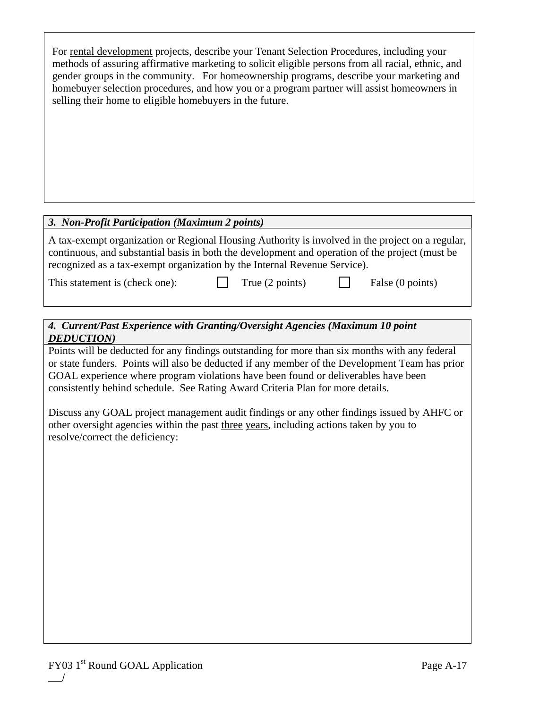| For rental development projects, describe your Tenant Selection Procedures, including your<br>methods of assuring affirmative marketing to solicit eligible persons from all racial, ethnic, and<br>gender groups in the community. For homeownership programs, describe your marketing and<br>homebuyer selection procedures, and how you or a program partner will assist homeowners in<br>selling their home to eligible homebuyers in the future. |
|-------------------------------------------------------------------------------------------------------------------------------------------------------------------------------------------------------------------------------------------------------------------------------------------------------------------------------------------------------------------------------------------------------------------------------------------------------|
|                                                                                                                                                                                                                                                                                                                                                                                                                                                       |

### *3. Non-Profit Participation (Maximum 2 points)*

A tax-exempt organization or Regional Housing Authority is involved in the project on a regular, continuous, and substantial basis in both the development and operation of the project (must be recognized as a tax-exempt organization by the Internal Revenue Service).

This statement is (check one): True (2 points) False (0 points)

### *4. Current/Past Experience with Granting/Oversight Agencies (Maximum 10 point DEDUCTION)*

Points will be deducted for any findings outstanding for more than six months with any federal or state funders. Points will also be deducted if any member of the Development Team has prior GOAL experience where program violations have been found or deliverables have been consistently behind schedule. See Rating Award Criteria Plan for more details.

Discuss any GOAL project management audit findings or any other findings issued by AHFC or other oversight agencies within the past three years, including actions taken by you to resolve/correct the deficiency: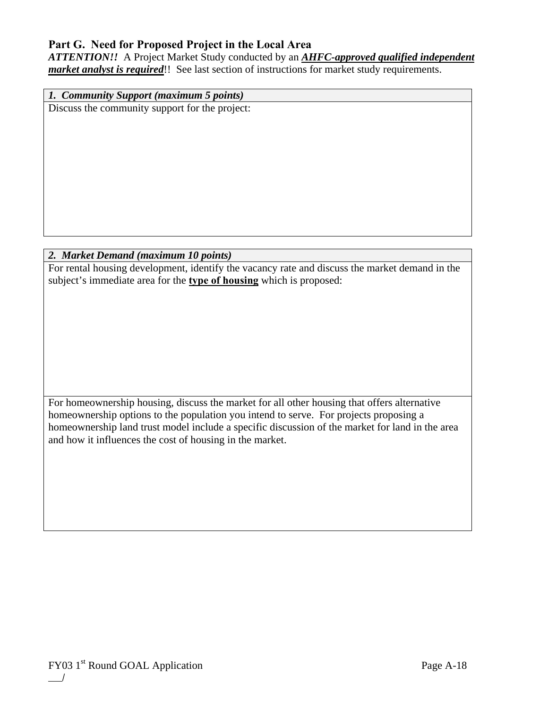### **Part G. Need for Proposed Project in the Local Area**

*ATTENTION!!* A Project Market Study conducted by an *AHFC-approved qualified independent market analyst is required*!! See last section of instructions for market study requirements.

*1. Community Support (maximum 5 points)*  Discuss the community support for the project:

### *2. Market Demand (maximum 10 points)*

For rental housing development, identify the vacancy rate and discuss the market demand in the subject's immediate area for the **type of housing** which is proposed:

For homeownership housing, discuss the market for all other housing that offers alternative homeownership options to the population you intend to serve. For projects proposing a homeownership land trust model include a specific discussion of the market for land in the area and how it influences the cost of housing in the market.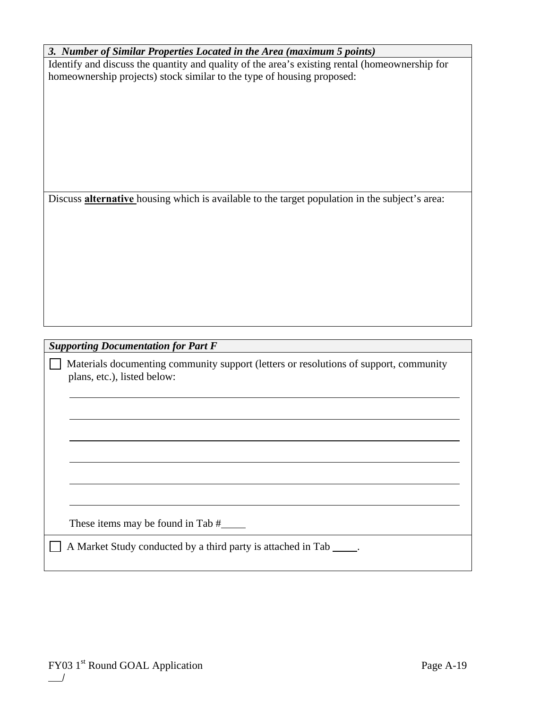| 3. Number of Similar Properties Located in the Area (maximum 5 points)                                |
|-------------------------------------------------------------------------------------------------------|
| Identify and discuss the quantity and quality of the area's existing rental (homeownership for        |
| homeownership projects) stock similar to the type of housing proposed:                                |
|                                                                                                       |
|                                                                                                       |
|                                                                                                       |
|                                                                                                       |
|                                                                                                       |
|                                                                                                       |
|                                                                                                       |
|                                                                                                       |
|                                                                                                       |
|                                                                                                       |
| Discuss <b>alternative</b> housing which is available to the target population in the subject's area: |
|                                                                                                       |
|                                                                                                       |
|                                                                                                       |
|                                                                                                       |
|                                                                                                       |
|                                                                                                       |
|                                                                                                       |
|                                                                                                       |
|                                                                                                       |
|                                                                                                       |
|                                                                                                       |
|                                                                                                       |
| <b>Supporting Documentation for Part F</b>                                                            |
| Materials documenting community support (letters or resolutions of support, community                 |
| plans, etc.), listed below:                                                                           |
|                                                                                                       |
|                                                                                                       |
|                                                                                                       |
|                                                                                                       |
|                                                                                                       |
|                                                                                                       |
|                                                                                                       |
|                                                                                                       |
|                                                                                                       |
|                                                                                                       |
|                                                                                                       |
|                                                                                                       |
|                                                                                                       |
| These items may be found in Tab $#$ _________                                                         |
|                                                                                                       |
| A Market Study conducted by a third party is attached in Tab _____.                                   |
|                                                                                                       |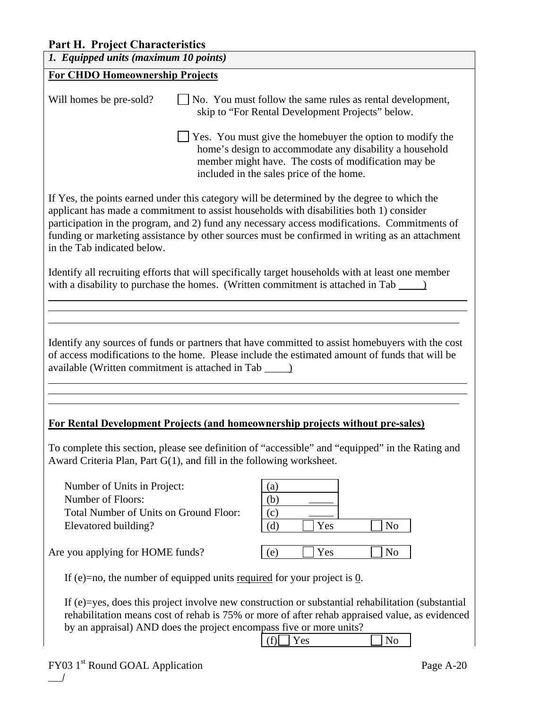### **Part H. Project Characteristics**

| 1. Equipped units (maximum 10 points)                                                                                                                                                                                                                                                                                                                                                                                   |                                                                                                                                                                                                                         |  |  |
|-------------------------------------------------------------------------------------------------------------------------------------------------------------------------------------------------------------------------------------------------------------------------------------------------------------------------------------------------------------------------------------------------------------------------|-------------------------------------------------------------------------------------------------------------------------------------------------------------------------------------------------------------------------|--|--|
| <b>For CHDO Homeownership Projects</b>                                                                                                                                                                                                                                                                                                                                                                                  |                                                                                                                                                                                                                         |  |  |
| Will homes be pre-sold?                                                                                                                                                                                                                                                                                                                                                                                                 | No. You must follow the same rules as rental development,<br>skip to "For Rental Development Projects" below.                                                                                                           |  |  |
|                                                                                                                                                                                                                                                                                                                                                                                                                         | Yes. You must give the homebuyer the option to modify the<br>home's design to accommodate any disability a household<br>member might have. The costs of modification may be<br>included in the sales price of the home. |  |  |
| If Yes, the points earned under this category will be determined by the degree to which the<br>applicant has made a commitment to assist households with disabilities both 1) consider<br>participation in the program, and 2) fund any necessary access modifications. Commitments of<br>funding or marketing assistance by other sources must be confirmed in writing as an attachment<br>in the Tab indicated below. |                                                                                                                                                                                                                         |  |  |
| with a disability to purchase the homes. (Written commitment is attached in Tab $\qquad$ )                                                                                                                                                                                                                                                                                                                              | Identify all recruiting efforts that will specifically target households with at least one member                                                                                                                       |  |  |
|                                                                                                                                                                                                                                                                                                                                                                                                                         |                                                                                                                                                                                                                         |  |  |
|                                                                                                                                                                                                                                                                                                                                                                                                                         | Identify any sources of funds or partners that have committed to assist homebuyers with the cost<br>of access modifications to the home. Please include the estimated amount of funds that will be                      |  |  |
| For Rental Development Projects (and homeownership projects without pre-sales)                                                                                                                                                                                                                                                                                                                                          |                                                                                                                                                                                                                         |  |  |
| Award Criteria Plan, Part G(1), and fill in the following worksheet.                                                                                                                                                                                                                                                                                                                                                    | To complete this section, please see definition of "accessible" and "equipped" in the Rating and                                                                                                                        |  |  |
| Number of Units in Project:                                                                                                                                                                                                                                                                                                                                                                                             | $\left( a\right)$                                                                                                                                                                                                       |  |  |
| Number of Floors:<br>Total Number of Units on Ground Floor:                                                                                                                                                                                                                                                                                                                                                             | (b)                                                                                                                                                                                                                     |  |  |
| Elevatored building?                                                                                                                                                                                                                                                                                                                                                                                                    | (c)<br>Yes<br>N <sub>o</sub><br>(d)                                                                                                                                                                                     |  |  |
| Are you applying for HOME funds?                                                                                                                                                                                                                                                                                                                                                                                        | Yes<br>(e)<br>No                                                                                                                                                                                                        |  |  |
| If (e)=no, the number of equipped units <u>required</u> for your project is $Q$ .                                                                                                                                                                                                                                                                                                                                       |                                                                                                                                                                                                                         |  |  |
| by an appraisal) AND does the project encompass five or more units?                                                                                                                                                                                                                                                                                                                                                     | If (e)=yes, does this project involve new construction or substantial rehabilitation (substantial<br>rehabilitation means cost of rehab is 75% or more of after rehab appraised value, as evidenced<br>Yes<br>(f)<br>No |  |  |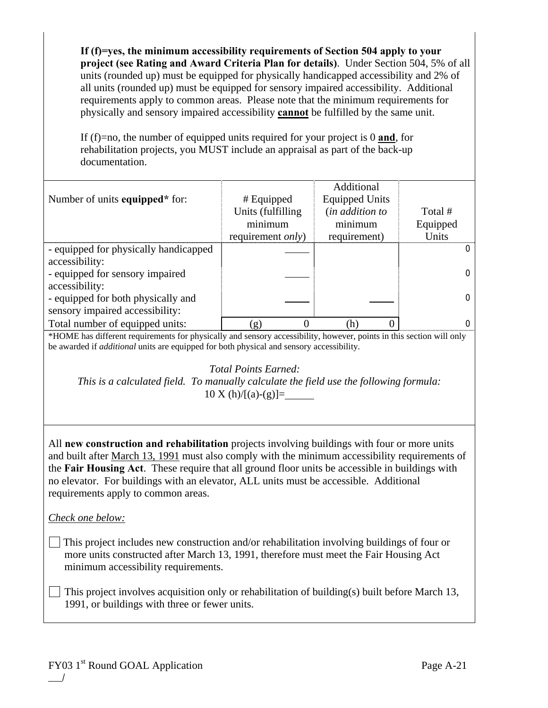**If (f)=yes, the minimum accessibility requirements of Section 504 apply to your project (see Rating and Award Criteria Plan for details)**. Under Section 504, 5% of all units (rounded up) must be equipped for physically handicapped accessibility and 2% of all units (rounded up) must be equipped for sensory impaired accessibility. Additional requirements apply to common areas. Please note that the minimum requirements for physically and sensory impaired accessibility **cannot** be fulfilled by the same unit.

If (f)=no, the number of equipped units required for your project is 0 **and**, for rehabilitation projects, you MUST include an appraisal as part of the back-up documentation.

|                                                                                                                      |                             | Additional            |             |  |
|----------------------------------------------------------------------------------------------------------------------|-----------------------------|-----------------------|-------------|--|
| Number of units equipped* for:                                                                                       | # Equipped                  | <b>Equipped Units</b> |             |  |
|                                                                                                                      | Units (fulfilling           | (in addition to       | Total #     |  |
|                                                                                                                      | minimum                     | minimum               | Equipped    |  |
|                                                                                                                      | requirement <i>only</i> )   | requirement)          | Units       |  |
| - equipped for physically handicapped                                                                                |                             |                       | $\mathbf 0$ |  |
| accessibility:                                                                                                       |                             |                       |             |  |
| - equipped for sensory impaired                                                                                      |                             |                       | 0           |  |
| accessibility:                                                                                                       |                             |                       |             |  |
| - equipped for both physically and                                                                                   |                             |                       | 0           |  |
| sensory impaired accessibility:                                                                                      |                             |                       |             |  |
| Total number of equipped units:                                                                                      | 0<br>(g)                    | (h)<br>0              | 0           |  |
| *HOME has different requirements for physically and sensory accessibility, however, points in this section will only |                             |                       |             |  |
| be awarded if <i>additional</i> units are equipped for both physical and sensory accessibility.                      |                             |                       |             |  |
|                                                                                                                      | <b>Total Points Earned:</b> |                       |             |  |
| This is a calculated field. To manually calculate the field use the following formula:                               |                             |                       |             |  |
|                                                                                                                      | $10 X(h)/[(a)-(g)] =$       |                       |             |  |
|                                                                                                                      |                             |                       |             |  |
|                                                                                                                      |                             |                       |             |  |
|                                                                                                                      |                             |                       |             |  |
| All new construction and rehabilitation projects involving buildings with four or more units                         |                             |                       |             |  |
| and built after March 13, 1991 must also comply with the minimum accessibility requirements of                       |                             |                       |             |  |
| the Fair Housing Act. These require that all ground floor units be accessible in buildings with                      |                             |                       |             |  |
| no elevator. For buildings with an elevator, ALL units must be accessible. Additional                                |                             |                       |             |  |
| requirements apply to common areas.                                                                                  |                             |                       |             |  |
|                                                                                                                      |                             |                       |             |  |
| Check one below:                                                                                                     |                             |                       |             |  |
|                                                                                                                      |                             |                       |             |  |
| This project includes new construction and/or rehabilitation involving buildings of four or                          |                             |                       |             |  |
| more units constructed after March 13, 1991, therefore must meet the Fair Housing Act                                |                             |                       |             |  |
| minimum accessibility requirements.                                                                                  |                             |                       |             |  |
|                                                                                                                      |                             |                       |             |  |
| This project involves acquisition only or rehabilitation of building(s) built before March 13,                       |                             |                       |             |  |
| 1991, or buildings with three or fewer units.                                                                        |                             |                       |             |  |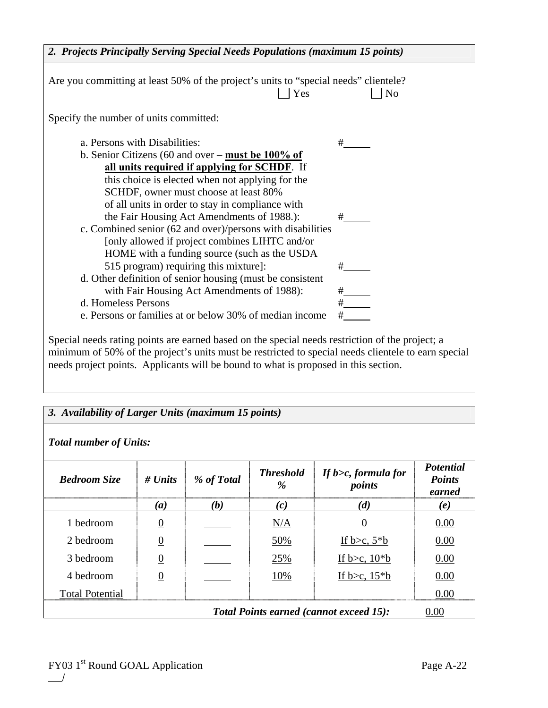| 2. Projects Principally Serving Special Needs Populations (maximum 15 points)                                                                                                                                                      |                         |  |
|------------------------------------------------------------------------------------------------------------------------------------------------------------------------------------------------------------------------------------|-------------------------|--|
| Are you committing at least 50% of the project's units to "special needs" clientele?<br>Yes                                                                                                                                        | N <sub>o</sub>          |  |
| Specify the number of units committed:                                                                                                                                                                                             |                         |  |
| a. Persons with Disabilities:<br>b. Senior Citizens (60 and over – must be $100\%$ of                                                                                                                                              | #                       |  |
| all units required if applying for SCHDF. If<br>this choice is elected when not applying for the<br>SCHDF, owner must choose at least 80%<br>of all units in order to stay in compliance with                                      |                         |  |
| the Fair Housing Act Amendments of 1988.):<br>c. Combined senior (62 and over)/persons with disabilities<br>[only allowed if project combines LIHTC and/or<br>HOME with a funding source (such as the USDA                         | #                       |  |
| 515 program) requiring this mixture]:<br>d. Other definition of senior housing (must be consistent<br>with Fair Housing Act Amendments of 1988):<br>d. Homeless Persons<br>e. Persons or families at or below 30% of median income | #<br>#_______<br>#<br># |  |
| Special needs rating points are earned based on the special needs restriction of the project; a<br>minimum of 50% of the project's units must be restricted to special needs clientele to earn special                             |                         |  |

needs project points. Applicants will be bound to what is proposed in this section.

| 3. Availability of Larger Units (maximum 15 points) |                  |            |                       |                                                |                                             |
|-----------------------------------------------------|------------------|------------|-----------------------|------------------------------------------------|---------------------------------------------|
| <b>Total number of Units:</b>                       |                  |            |                       |                                                |                                             |
| <b>Bedroom Size</b>                                 | # Units          | % of Total | <b>Threshold</b><br>% | If $b > c$ , formula for<br>points             | <b>Potential</b><br><b>Points</b><br>earned |
|                                                     | (a)              | (b)        | (c)                   | (d)                                            | (e)                                         |
| 1 bedroom                                           | $\overline{0}$   |            | N/A                   | $\Omega$                                       | 0.00                                        |
| 2 bedroom                                           | $\overline{0}$   |            | 50%                   | If $b > c$ , $5 * b$                           | 0.00                                        |
| 3 bedroom                                           | $\boldsymbol{0}$ |            | 25%                   | If $b > c$ , $10 * b$                          | 0.00                                        |
| 4 bedroom                                           | $\overline{0}$   |            | 10%                   | If $b > c$ , $15 * b$                          | 0.00                                        |
| <b>Total Potential</b>                              |                  |            |                       |                                                | 0.00                                        |
|                                                     |                  |            |                       | <b>Total Points earned (cannot exceed 15):</b> | 0.00                                        |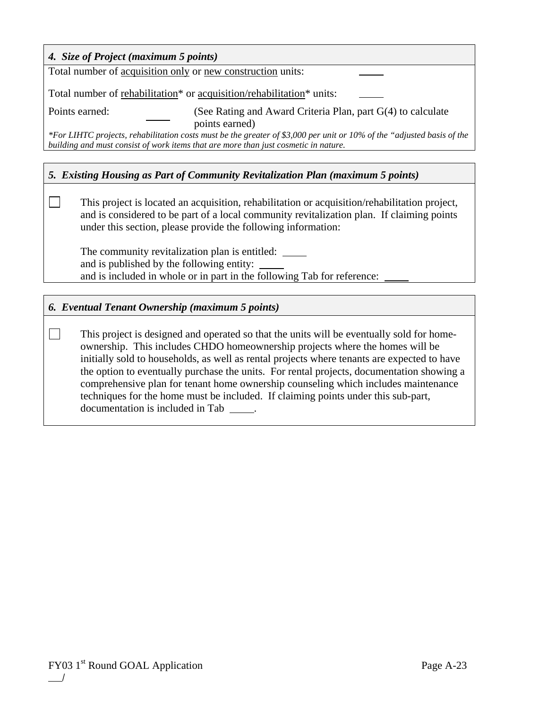| 4. Size of Project (maximum 5 points)                                                                                                                                                                                                                                                                                                                                                                                                                                                                                                                                                       |  |  |  |
|---------------------------------------------------------------------------------------------------------------------------------------------------------------------------------------------------------------------------------------------------------------------------------------------------------------------------------------------------------------------------------------------------------------------------------------------------------------------------------------------------------------------------------------------------------------------------------------------|--|--|--|
| Total number of acquisition only or new construction units:                                                                                                                                                                                                                                                                                                                                                                                                                                                                                                                                 |  |  |  |
| Total number of rehabilitation* or acquisition/rehabilitation* units:                                                                                                                                                                                                                                                                                                                                                                                                                                                                                                                       |  |  |  |
| Points earned:<br>(See Rating and Award Criteria Plan, part $G(4)$ to calculate                                                                                                                                                                                                                                                                                                                                                                                                                                                                                                             |  |  |  |
| points earned)<br>*For LIHTC projects, rehabilitation costs must be the greater of \$3,000 per unit or 10% of the "adjusted basis of the<br>building and must consist of work items that are more than just cosmetic in nature.                                                                                                                                                                                                                                                                                                                                                             |  |  |  |
| 5. Existing Housing as Part of Community Revitalization Plan (maximum 5 points)                                                                                                                                                                                                                                                                                                                                                                                                                                                                                                             |  |  |  |
| This project is located an acquisition, rehabilitation or acquisition/rehabilitation project,<br>and is considered to be part of a local community revitalization plan. If claiming points<br>under this section, please provide the following information:                                                                                                                                                                                                                                                                                                                                 |  |  |  |
| The community revitalization plan is entitled:<br>and is published by the following entity:<br>and is included in whole or in part in the following Tab for reference:                                                                                                                                                                                                                                                                                                                                                                                                                      |  |  |  |
|                                                                                                                                                                                                                                                                                                                                                                                                                                                                                                                                                                                             |  |  |  |
| 6. Eventual Tenant Ownership (maximum 5 points)                                                                                                                                                                                                                                                                                                                                                                                                                                                                                                                                             |  |  |  |
| This project is designed and operated so that the units will be eventually sold for home-<br>ownership. This includes CHDO homeownership projects where the homes will be<br>initially sold to households, as well as rental projects where tenants are expected to have<br>the option to eventually purchase the units. For rental projects, documentation showing a<br>comprehensive plan for tenant home ownership counseling which includes maintenance<br>techniques for the home must be included. If claiming points under this sub-part,<br>documentation is included in Tab _____. |  |  |  |
|                                                                                                                                                                                                                                                                                                                                                                                                                                                                                                                                                                                             |  |  |  |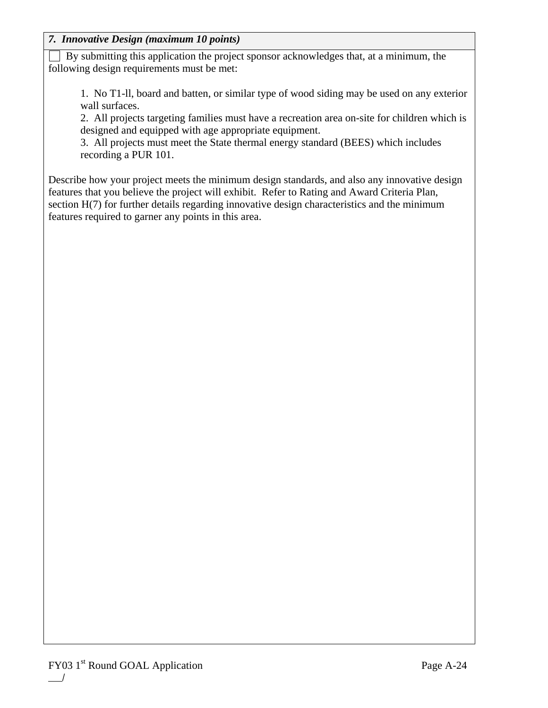### *7. Innovative Design (maximum 10 points)*

 $\Box$  By submitting this application the project sponsor acknowledges that, at a minimum, the following design requirements must be met:

1. No T1-ll, board and batten, or similar type of wood siding may be used on any exterior wall surfaces.

2. All projects targeting families must have a recreation area on-site for children which is designed and equipped with age appropriate equipment.

3. All projects must meet the State thermal energy standard (BEES) which includes recording a PUR 101.

Describe how your project meets the minimum design standards, and also any innovative design features that you believe the project will exhibit. Refer to Rating and Award Criteria Plan, section H(7) for further details regarding innovative design characteristics and the minimum features required to garner any points in this area.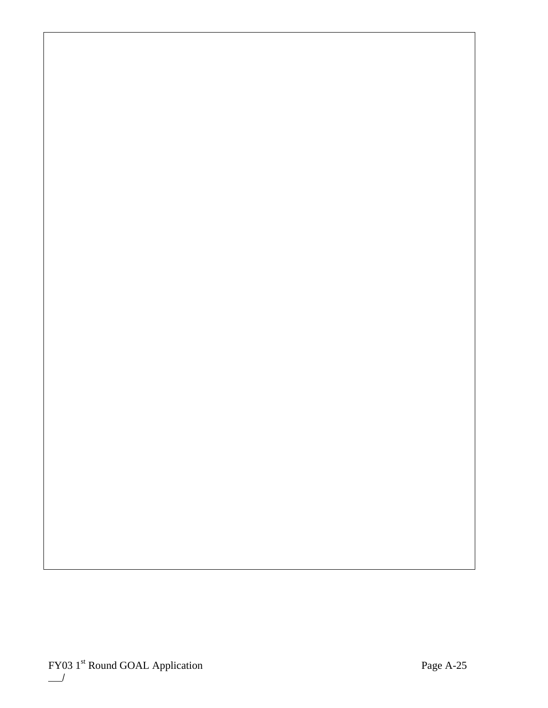FY03 1<sup>st</sup> Round GOAL Application Page A-25  $\overline{\phantom{a}}$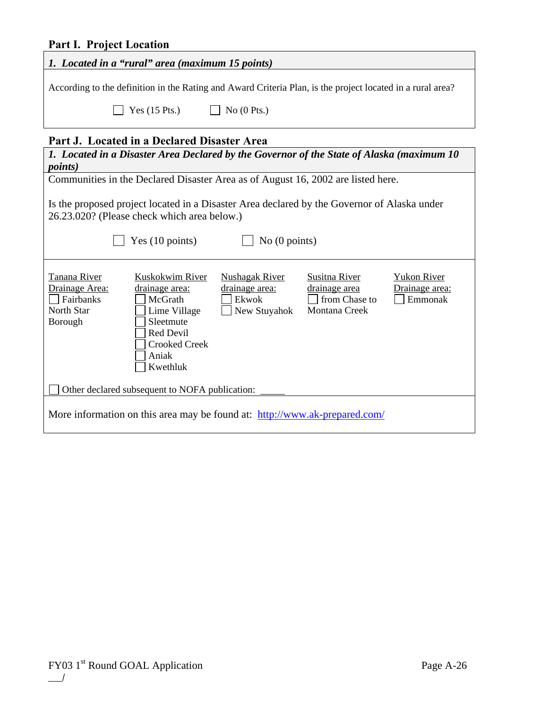### **Part I. Project Location**

| r art ne r roject Location                                                                                                                                                                                                                                                                                                                                                                             |  |  |  |
|--------------------------------------------------------------------------------------------------------------------------------------------------------------------------------------------------------------------------------------------------------------------------------------------------------------------------------------------------------------------------------------------------------|--|--|--|
| 1. Located in a "rural" area (maximum 15 points)                                                                                                                                                                                                                                                                                                                                                       |  |  |  |
| According to the definition in the Rating and Award Criteria Plan, is the project located in a rural area?<br>Yes $(15 \text{ Pts.})$<br>No $(0$ Pts.)                                                                                                                                                                                                                                                 |  |  |  |
|                                                                                                                                                                                                                                                                                                                                                                                                        |  |  |  |
| Part J. Located in a Declared Disaster Area                                                                                                                                                                                                                                                                                                                                                            |  |  |  |
| 1. Located in a Disaster Area Declared by the Governor of the State of Alaska (maximum 10<br><i>points</i> )                                                                                                                                                                                                                                                                                           |  |  |  |
| Communities in the Declared Disaster Area as of August 16, 2002 are listed here.                                                                                                                                                                                                                                                                                                                       |  |  |  |
| Is the proposed project located in a Disaster Area declared by the Governor of Alaska under<br>26.23.020? (Please check which area below.)<br>Yes $(10 \text{ points})$<br>$No$ (0 points)                                                                                                                                                                                                             |  |  |  |
| Yukon River<br>Tanana River<br>Kuskokwim River<br><b>Nushagak River</b><br><b>Susitna River</b><br>Drainage Area:<br>drainage area:<br>drainage area<br>drainage area:<br>Drainage area:<br>Fairbanks<br>Ekwok<br>from Chase to<br>McGrath<br>Emmonak<br>North Star<br>New Stuyahok<br>Montana Creek<br>Lime Village<br>Sleetmute<br>Borough<br>Red Devil<br><b>Crooked Creek</b><br>Aniak<br>Kwethluk |  |  |  |
| Other declared subsequent to NOFA publication:                                                                                                                                                                                                                                                                                                                                                         |  |  |  |
| More information on this area may be found at: http://www.ak-prepared.com/                                                                                                                                                                                                                                                                                                                             |  |  |  |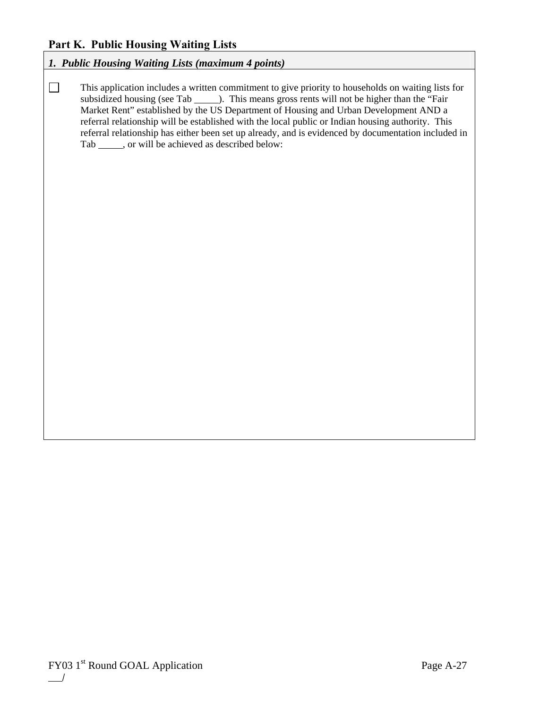### **Part K. Public Housing Waiting Lists**

### *1. Public Housing Waiting Lists (maximum 4 points)*

This application includes a written commitment to give priority to households on waiting lists for subsidized housing (see Tab \_\_\_\_\_\_). This means gross rents will not be higher than the "Fair Market Rent" established by the US Department of Housing and Urban Development AND a referral relationship will be established with the local public or Indian housing authority. This referral relationship has either been set up already, and is evidenced by documentation included in Tab \_\_\_\_\_, or will be achieved as described below: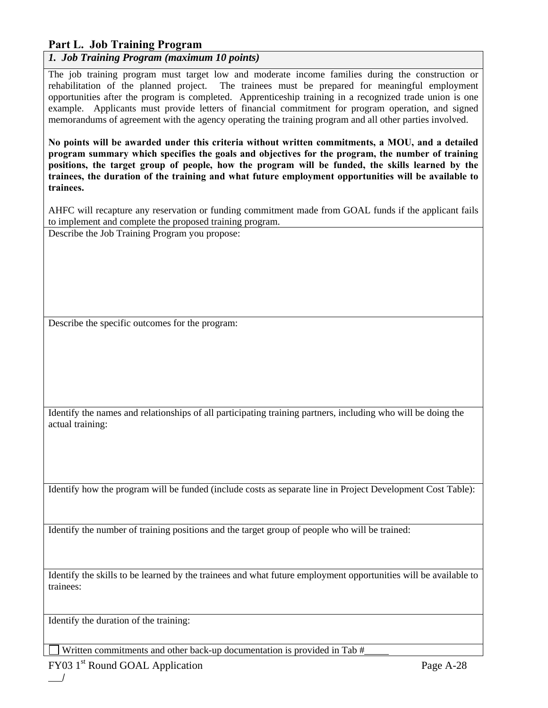### **Part L. Job Training Program**

*1. Job Training Program (maximum 10 points)* 

The job training program must target low and moderate income families during the construction or rehabilitation of the planned project. The trainees must be prepared for meaningful employment opportunities after the program is completed. Apprenticeship training in a recognized trade union is one example. Applicants must provide letters of financial commitment for program operation, and signed memorandums of agreement with the agency operating the training program and all other parties involved.

**No points will be awarded under this criteria without written commitments, a MOU, and a detailed program summary which specifies the goals and objectives for the program, the number of training positions, the target group of people, how the program will be funded, the skills learned by the trainees, the duration of the training and what future employment opportunities will be available to trainees.** 

AHFC will recapture any reservation or funding commitment made from GOAL funds if the applicant fails to implement and complete the proposed training program.

Describe the Job Training Program you propose:

Describe the specific outcomes for the program:

Identify the names and relationships of all participating training partners, including who will be doing the actual training:

Identify how the program will be funded (include costs as separate line in Project Development Cost Table):

Identify the number of training positions and the target group of people who will be trained:

Identify the skills to be learned by the trainees and what future employment opportunities will be available to trainees:

Identify the duration of the training:

Written commitments and other back-up documentation is provided in Tab #

FY03 1<sup>st</sup> Round GOAL Application Page A-28  $\frac{1}{2}$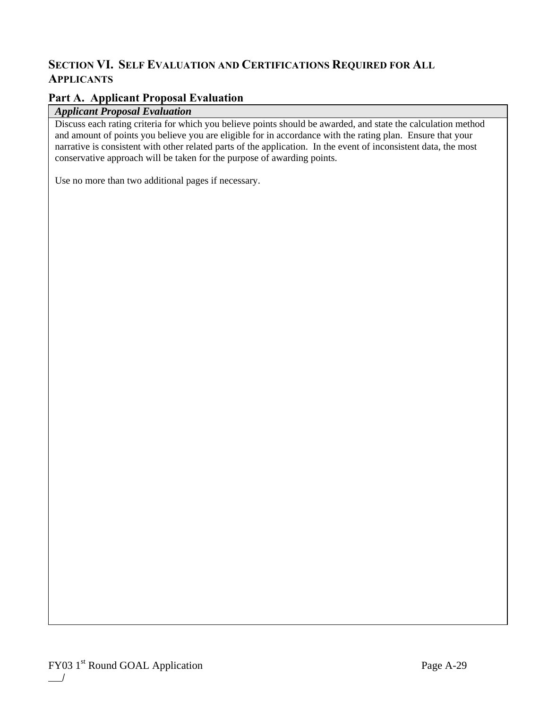### **SECTION VI. SELF EVALUATION AND CERTIFICATIONS REQUIRED FOR ALL APPLICANTS**

### **Part A. Applicant Proposal Evaluation**

### *Applicant Proposal Evaluation*

Discuss each rating criteria for which you believe points should be awarded, and state the calculation method and amount of points you believe you are eligible for in accordance with the rating plan. Ensure that your narrative is consistent with other related parts of the application. In the event of inconsistent data, the most conservative approach will be taken for the purpose of awarding points.

Use no more than two additional pages if necessary.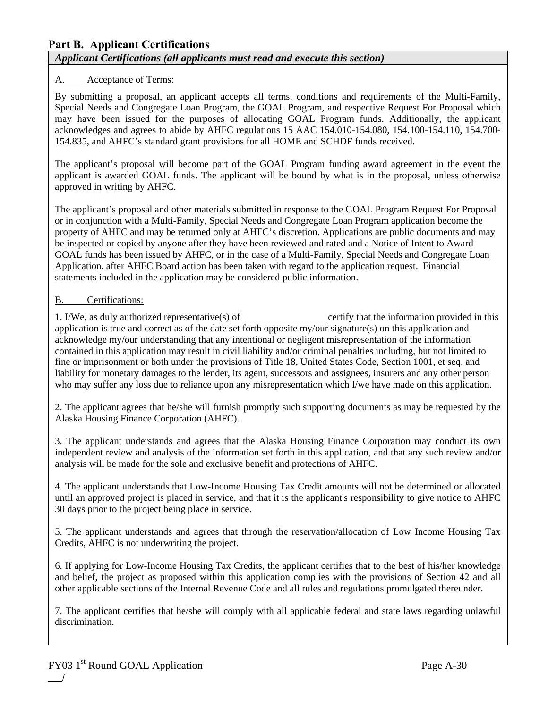### **Part B. Applicant Certifications**  *Applicant Certifications (all applicants must read and execute this section)*

#### A. Acceptance of Terms:

By submitting a proposal, an applicant accepts all terms, conditions and requirements of the Multi-Family, Special Needs and Congregate Loan Program, the GOAL Program, and respective Request For Proposal which may have been issued for the purposes of allocating GOAL Program funds. Additionally, the applicant acknowledges and agrees to abide by AHFC regulations 15 AAC 154.010-154.080, 154.100-154.110, 154.700- 154.835, and AHFC's standard grant provisions for all HOME and SCHDF funds received.

The applicant's proposal will become part of the GOAL Program funding award agreement in the event the applicant is awarded GOAL funds. The applicant will be bound by what is in the proposal, unless otherwise approved in writing by AHFC.

The applicant's proposal and other materials submitted in response to the GOAL Program Request For Proposal or in conjunction with a Multi-Family, Special Needs and Congregate Loan Program application become the property of AHFC and may be returned only at AHFC's discretion. Applications are public documents and may be inspected or copied by anyone after they have been reviewed and rated and a Notice of Intent to Award GOAL funds has been issued by AHFC, or in the case of a Multi-Family, Special Needs and Congregate Loan Application, after AHFC Board action has been taken with regard to the application request. Financial statements included in the application may be considered public information.

#### B. Certifications:

1. I/We, as duly authorized representative(s) of certify that the information provided in this application is true and correct as of the date set forth opposite my/our signature(s) on this application and acknowledge my/our understanding that any intentional or negligent misrepresentation of the information contained in this application may result in civil liability and/or criminal penalties including, but not limited to fine or imprisonment or both under the provisions of Title 18, United States Code, Section 1001, et seq. and liability for monetary damages to the lender, its agent, successors and assignees, insurers and any other person who may suffer any loss due to reliance upon any misrepresentation which I/we have made on this application.

2. The applicant agrees that he/she will furnish promptly such supporting documents as may be requested by the Alaska Housing Finance Corporation (AHFC).

3. The applicant understands and agrees that the Alaska Housing Finance Corporation may conduct its own independent review and analysis of the information set forth in this application, and that any such review and/or analysis will be made for the sole and exclusive benefit and protections of AHFC.

4. The applicant understands that Low-Income Housing Tax Credit amounts will not be determined or allocated until an approved project is placed in service, and that it is the applicant's responsibility to give notice to AHFC 30 days prior to the project being place in service.

5. The applicant understands and agrees that through the reservation/allocation of Low Income Housing Tax Credits, AHFC is not underwriting the project.

6. If applying for Low-Income Housing Tax Credits, the applicant certifies that to the best of his/her knowledge and belief, the project as proposed within this application complies with the provisions of Section 42 and all other applicable sections of the Internal Revenue Code and all rules and regulations promulgated thereunder.

7. The applicant certifies that he/she will comply with all applicable federal and state laws regarding unlawful discrimination.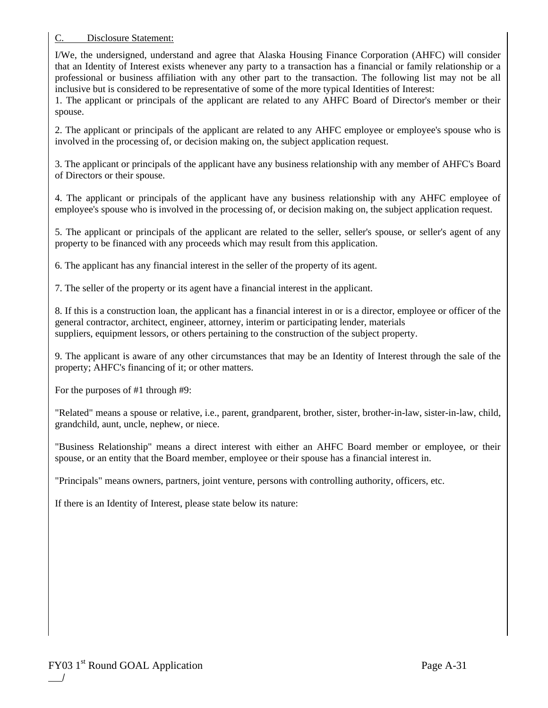#### C. Disclosure Statement:

I/We, the undersigned, understand and agree that Alaska Housing Finance Corporation (AHFC) will consider that an Identity of Interest exists whenever any party to a transaction has a financial or family relationship or a professional or business affiliation with any other part to the transaction. The following list may not be all inclusive but is considered to be representative of some of the more typical Identities of Interest:

1. The applicant or principals of the applicant are related to any AHFC Board of Director's member or their spouse.

2. The applicant or principals of the applicant are related to any AHFC employee or employee's spouse who is involved in the processing of, or decision making on, the subject application request.

3. The applicant or principals of the applicant have any business relationship with any member of AHFC's Board of Directors or their spouse.

4. The applicant or principals of the applicant have any business relationship with any AHFC employee of employee's spouse who is involved in the processing of, or decision making on, the subject application request.

5. The applicant or principals of the applicant are related to the seller, seller's spouse, or seller's agent of any property to be financed with any proceeds which may result from this application.

6. The applicant has any financial interest in the seller of the property of its agent.

7. The seller of the property or its agent have a financial interest in the applicant.

8. If this is a construction loan, the applicant has a financial interest in or is a director, employee or officer of the general contractor, architect, engineer, attorney, interim or participating lender, materials suppliers, equipment lessors, or others pertaining to the construction of the subject property.

9. The applicant is aware of any other circumstances that may be an Identity of Interest through the sale of the property; AHFC's financing of it; or other matters.

For the purposes of #1 through #9:

"Related" means a spouse or relative, i.e., parent, grandparent, brother, sister, brother-in-law, sister-in-law, child, grandchild, aunt, uncle, nephew, or niece.

"Business Relationship" means a direct interest with either an AHFC Board member or employee, or their spouse, or an entity that the Board member, employee or their spouse has a financial interest in.

"Principals" means owners, partners, joint venture, persons with controlling authority, officers, etc.

If there is an Identity of Interest, please state below its nature: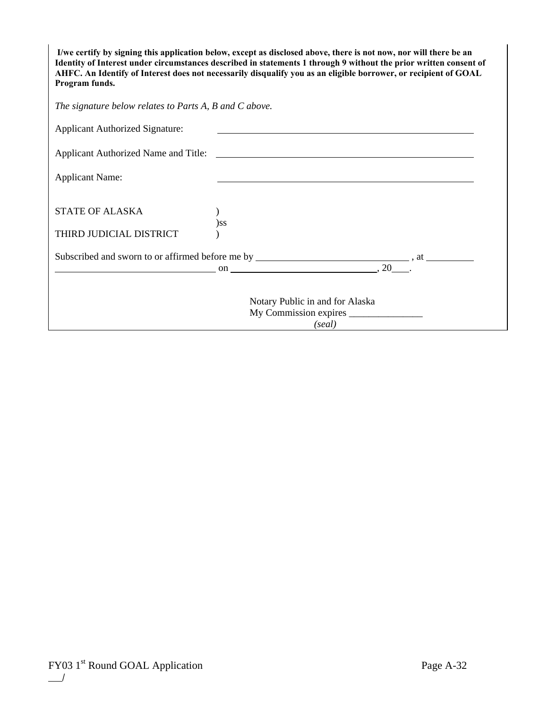**I/we certify by signing this application below, except as disclosed above, there is not now, nor will there be an Identity of Interest under circumstances described in statements 1 through 9 without the prior written consent of AHFC. An Identify of Interest does not necessarily disqualify you as an eligible borrower, or recipient of GOAL Program funds.** 

*The signature below relates to Parts A, B and C above.* 

| <b>Applicant Authorized Signature:</b>                                                                                                                           |                                                                                                                      |  |
|------------------------------------------------------------------------------------------------------------------------------------------------------------------|----------------------------------------------------------------------------------------------------------------------|--|
| Applicant Authorized Name and Title:                                                                                                                             | <u> Alexandria de la contrada de la contrada de la contrada de la contrada de la contrada de la contrada de la c</u> |  |
| <b>Applicant Name:</b>                                                                                                                                           |                                                                                                                      |  |
| <b>STATE OF ALASKA</b>                                                                                                                                           |                                                                                                                      |  |
| THIRD JUDICIAL DISTRICT                                                                                                                                          | $)$ ss                                                                                                               |  |
| $\overline{\text{on}}$ $\overline{\text{on}}$ $\overline{\text{on}}$ $\overline{\text{on}}$ $\overline{\text{on}}$ $\overline{\text{on}}$ $\overline{\text{on}}$ |                                                                                                                      |  |
|                                                                                                                                                                  | Notary Public in and for Alaska<br>(seal)                                                                            |  |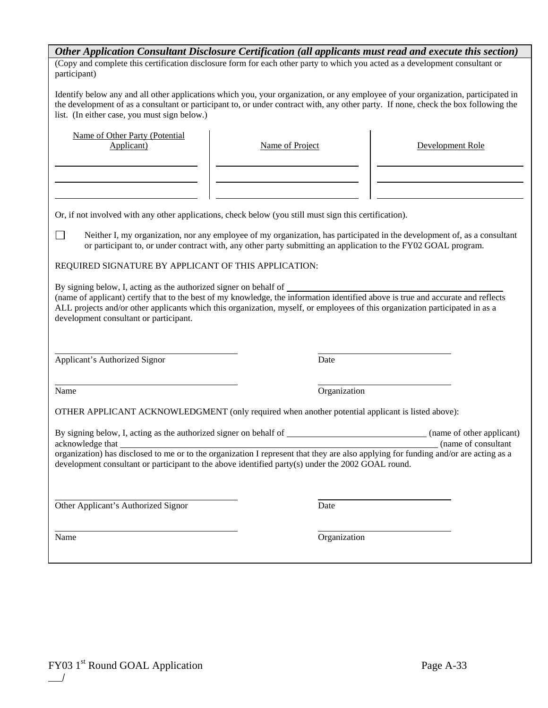|                                                                                                                                                                                                                                                                                                                                                                                                                                                                                                       |                 | Other Application Consultant Disclosure Certification (all applicants must read and execute this section)                                                                                                                                                                |
|-------------------------------------------------------------------------------------------------------------------------------------------------------------------------------------------------------------------------------------------------------------------------------------------------------------------------------------------------------------------------------------------------------------------------------------------------------------------------------------------------------|-----------------|--------------------------------------------------------------------------------------------------------------------------------------------------------------------------------------------------------------------------------------------------------------------------|
| (Copy and complete this certification disclosure form for each other party to which you acted as a development consultant or<br>participant)                                                                                                                                                                                                                                                                                                                                                          |                 |                                                                                                                                                                                                                                                                          |
| list. (In either case, you must sign below.)                                                                                                                                                                                                                                                                                                                                                                                                                                                          |                 | Identify below any and all other applications which you, your organization, or any employee of your organization, participated in<br>the development of as a consultant or participant to, or under contract with, any other party. If none, check the box following the |
| Name of Other Party (Potential<br>Applicant)                                                                                                                                                                                                                                                                                                                                                                                                                                                          | Name of Project | Development Role                                                                                                                                                                                                                                                         |
| Or, if not involved with any other applications, check below (you still must sign this certification).                                                                                                                                                                                                                                                                                                                                                                                                |                 |                                                                                                                                                                                                                                                                          |
| $\blacksquare$                                                                                                                                                                                                                                                                                                                                                                                                                                                                                        |                 | Neither I, my organization, nor any employee of my organization, has participated in the development of, as a consultant<br>or participant to, or under contract with, any other party submitting an application to the FY02 GOAL program.                               |
| REQUIRED SIGNATURE BY APPLICANT OF THIS APPLICATION:                                                                                                                                                                                                                                                                                                                                                                                                                                                  |                 |                                                                                                                                                                                                                                                                          |
| By signing below, I, acting as the authorized signer on behalf of ______________<br>by signing below, i, acting as the authorized signer on behalf of <b>container</b> of <b>container</b> (name of applicant) certify that to the best of my knowledge, the information identified above is true and accurate and reflects<br>ALL projects and/or other applicants which this organization, myself, or employees of this organization participated in as a<br>development consultant or participant. |                 |                                                                                                                                                                                                                                                                          |
| Applicant's Authorized Signor                                                                                                                                                                                                                                                                                                                                                                                                                                                                         | Date            |                                                                                                                                                                                                                                                                          |
| Name                                                                                                                                                                                                                                                                                                                                                                                                                                                                                                  | Organization    |                                                                                                                                                                                                                                                                          |
| OTHER APPLICANT ACKNOWLEDGMENT (only required when another potential applicant is listed above):                                                                                                                                                                                                                                                                                                                                                                                                      |                 |                                                                                                                                                                                                                                                                          |
| By signing below, I, acting as the authorized signer on behalf of<br>acknowledge that                                                                                                                                                                                                                                                                                                                                                                                                                 |                 | (name of other applicant)<br>(name of consultant)                                                                                                                                                                                                                        |
| organization) has disclosed to me or to the organization I represent that they are also applying for funding and/or are acting as a<br>development consultant or participant to the above identified party(s) under the 2002 GOAL round.                                                                                                                                                                                                                                                              |                 |                                                                                                                                                                                                                                                                          |
| Other Applicant's Authorized Signor                                                                                                                                                                                                                                                                                                                                                                                                                                                                   | Date            |                                                                                                                                                                                                                                                                          |
| Name                                                                                                                                                                                                                                                                                                                                                                                                                                                                                                  | Organization    |                                                                                                                                                                                                                                                                          |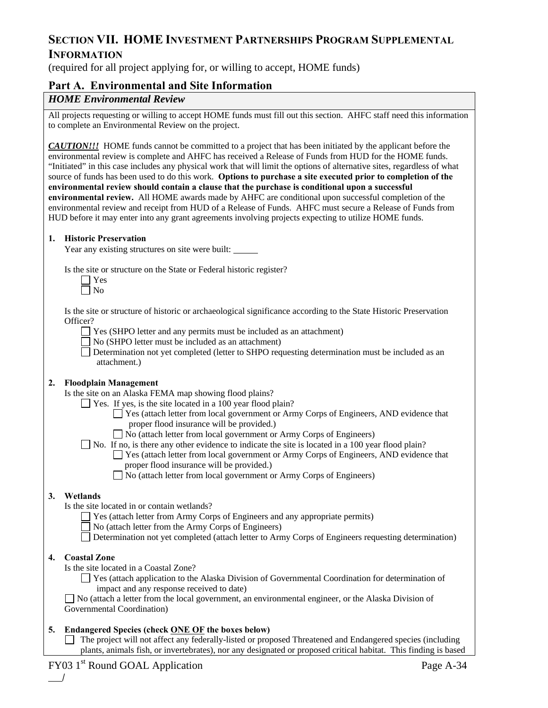## **SECTION VII. HOME INVESTMENT PARTNERSHIPS PROGRAM SUPPLEMENTAL INFORMATION**

(required for all project applying for, or willing to accept, HOME funds)

#### **Part A. Environmental and Site Information**

#### *HOME Environmental Review*

All projects requesting or willing to accept HOME funds must fill out this section. AHFC staff need this information to complete an Environmental Review on the project.

*CAUTION!!!* HOME funds cannot be committed to a project that has been initiated by the applicant before the environmental review is complete and AHFC has received a Release of Funds from HUD for the HOME funds. "Initiated" in this case includes any physical work that will limit the options of alternative sites, regardless of what source of funds has been used to do this work. **Options to purchase a site executed prior to completion of the environmental review should contain a clause that the purchase is conditional upon a successful environmental review.** All HOME awards made by AHFC are conditional upon successful completion of the environmental review and receipt from HUD of a Release of Funds. AHFC must secure a Release of Funds from HUD before it may enter into any grant agreements involving projects expecting to utilize HOME funds.

#### **1. Historic Preservation**

Year any existing structures on site were built:

Is the site or structure on the State or Federal historic register?

Is the site or structure of historic or archaeological significance according to the State Historic Preservation Officer?

Yes (SHPO letter and any permits must be included as an attachment)

 $\Box$  No (SHPO letter must be included as an attachment)

Determination not yet completed (letter to SHPO requesting determination must be included as an attachment.)

#### **2. Floodplain Management**

Is the site on an Alaska FEMA map showing flood plains?

- Yes. If yes, is the site located in a 100 year flood plain?
	- Yes (attach letter from local government or Army Corps of Engineers, AND evidence that proper flood insurance will be provided.)
	- No (attach letter from local government or Army Corps of Engineers)

No. If no, is there any other evidence to indicate the site is located in a 100 year flood plain?

 Yes (attach letter from local government or Army Corps of Engineers, AND evidence that proper flood insurance will be provided.)

No (attach letter from local government or Army Corps of Engineers)

#### **3. Wetlands**

Is the site located in or contain wetlands?

- Yes (attach letter from Army Corps of Engineers and any appropriate permits)
- No (attach letter from the Army Corps of Engineers)
- Determination not yet completed (attach letter to Army Corps of Engineers requesting determination)

#### **4. Coastal Zone**

 $\frac{1}{2}$ 

Is the site located in a Coastal Zone?

 Yes (attach application to the Alaska Division of Governmental Coordination for determination of impact and any response received to date)

 No (attach a letter from the local government, an environmental engineer, or the Alaska Division of Governmental Coordination)

#### **5. Endangered Species (check ONE OF the boxes below)**

 The project will not affect any federally-listed or proposed Threatened and Endangered species (including plants, animals fish, or invertebrates), nor any designated or proposed critical habitat. This finding is based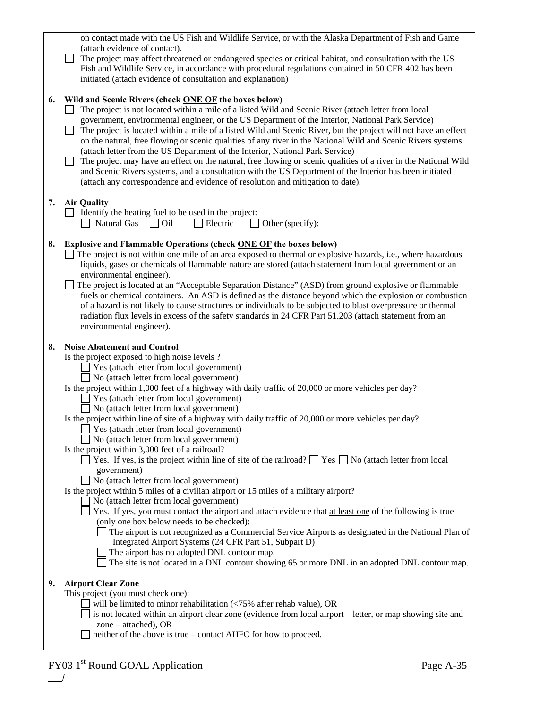|    | on contact made with the US Fish and Wildlife Service, or with the Alaska Department of Fish and Game<br>(attach evidence of contact).                                                                                                                                                                                                                                                                                                                                                                                                                                                                                                                                                                                                                                                                                                       |
|----|----------------------------------------------------------------------------------------------------------------------------------------------------------------------------------------------------------------------------------------------------------------------------------------------------------------------------------------------------------------------------------------------------------------------------------------------------------------------------------------------------------------------------------------------------------------------------------------------------------------------------------------------------------------------------------------------------------------------------------------------------------------------------------------------------------------------------------------------|
|    | The project may affect threatened or endangered species or critical habitat, and consultation with the US<br>Fish and Wildlife Service, in accordance with procedural regulations contained in 50 CFR 402 has been<br>initiated (attach evidence of consultation and explanation)                                                                                                                                                                                                                                                                                                                                                                                                                                                                                                                                                            |
| 6. | Wild and Scenic Rivers (check ONE OF the boxes below)                                                                                                                                                                                                                                                                                                                                                                                                                                                                                                                                                                                                                                                                                                                                                                                        |
|    | The project is not located within a mile of a listed Wild and Scenic River (attach letter from local<br>government, environmental engineer, or the US Department of the Interior, National Park Service)<br>The project is located within a mile of a listed Wild and Scenic River, but the project will not have an effect<br>on the natural, free flowing or scenic qualities of any river in the National Wild and Scenic Rivers systems<br>(attach letter from the US Department of the Interior, National Park Service)<br>The project may have an effect on the natural, free flowing or scenic qualities of a river in the National Wild<br>and Scenic Rivers systems, and a consultation with the US Department of the Interior has been initiated<br>(attach any correspondence and evidence of resolution and mitigation to date). |
| 7. | <b>Air Quality</b>                                                                                                                                                                                                                                                                                                                                                                                                                                                                                                                                                                                                                                                                                                                                                                                                                           |
|    | Identify the heating fuel to be used in the project:<br>Natural Gas $\Box$ Oil<br>$\Box$ Electric<br>Other (specify):                                                                                                                                                                                                                                                                                                                                                                                                                                                                                                                                                                                                                                                                                                                        |
| 8. | <b>Explosive and Flammable Operations (check ONE OF the boxes below)</b>                                                                                                                                                                                                                                                                                                                                                                                                                                                                                                                                                                                                                                                                                                                                                                     |
|    | The project is not within one mile of an area exposed to thermal or explosive hazards, i.e., where hazardous<br>liquids, gases or chemicals of flammable nature are stored (attach statement from local government or an<br>environmental engineer).                                                                                                                                                                                                                                                                                                                                                                                                                                                                                                                                                                                         |
|    | The project is located at an "Acceptable Separation Distance" (ASD) from ground explosive or flammable<br>fuels or chemical containers. An ASD is defined as the distance beyond which the explosion or combustion<br>of a hazard is not likely to cause structures or individuals to be subjected to blast overpressure or thermal<br>radiation flux levels in excess of the safety standards in 24 CFR Part 51.203 (attach statement from an<br>environmental engineer).                                                                                                                                                                                                                                                                                                                                                                   |
|    |                                                                                                                                                                                                                                                                                                                                                                                                                                                                                                                                                                                                                                                                                                                                                                                                                                              |
|    |                                                                                                                                                                                                                                                                                                                                                                                                                                                                                                                                                                                                                                                                                                                                                                                                                                              |
| 8. | <b>Noise Abatement and Control</b><br>Is the project exposed to high noise levels ?                                                                                                                                                                                                                                                                                                                                                                                                                                                                                                                                                                                                                                                                                                                                                          |
|    | Yes (attach letter from local government)                                                                                                                                                                                                                                                                                                                                                                                                                                                                                                                                                                                                                                                                                                                                                                                                    |
|    | No (attach letter from local government)<br>Is the project within 1,000 feet of a highway with daily traffic of 20,000 or more vehicles per day?                                                                                                                                                                                                                                                                                                                                                                                                                                                                                                                                                                                                                                                                                             |
|    | Yes (attach letter from local government)                                                                                                                                                                                                                                                                                                                                                                                                                                                                                                                                                                                                                                                                                                                                                                                                    |
|    | No (attach letter from local government)<br>Is the project within line of site of a highway with daily traffic of 20,000 or more vehicles per day?                                                                                                                                                                                                                                                                                                                                                                                                                                                                                                                                                                                                                                                                                           |
|    | Yes (attach letter from local government)                                                                                                                                                                                                                                                                                                                                                                                                                                                                                                                                                                                                                                                                                                                                                                                                    |
|    | No (attach letter from local government)<br>Is the project within 3,000 feet of a railroad?                                                                                                                                                                                                                                                                                                                                                                                                                                                                                                                                                                                                                                                                                                                                                  |
|    | The Yes. If yes, is the project within line of site of the railroad? $\Box$ Yes $\Box$ No (attach letter from local                                                                                                                                                                                                                                                                                                                                                                                                                                                                                                                                                                                                                                                                                                                          |
|    | government)<br>No (attach letter from local government)                                                                                                                                                                                                                                                                                                                                                                                                                                                                                                                                                                                                                                                                                                                                                                                      |
|    | Is the project within 5 miles of a civilian airport or 15 miles of a military airport?                                                                                                                                                                                                                                                                                                                                                                                                                                                                                                                                                                                                                                                                                                                                                       |
|    | No (attach letter from local government)<br>Yes. If yes, you must contact the airport and attach evidence that at least one of the following is true                                                                                                                                                                                                                                                                                                                                                                                                                                                                                                                                                                                                                                                                                         |
|    | (only one box below needs to be checked):                                                                                                                                                                                                                                                                                                                                                                                                                                                                                                                                                                                                                                                                                                                                                                                                    |
|    | The airport is not recognized as a Commercial Service Airports as designated in the National Plan of<br>Integrated Airport Systems (24 CFR Part 51, Subpart D)                                                                                                                                                                                                                                                                                                                                                                                                                                                                                                                                                                                                                                                                               |
|    | The airport has no adopted DNL contour map.<br>The site is not located in a DNL contour showing 65 or more DNL in an adopted DNL contour map.                                                                                                                                                                                                                                                                                                                                                                                                                                                                                                                                                                                                                                                                                                |
| 9. | <b>Airport Clear Zone</b>                                                                                                                                                                                                                                                                                                                                                                                                                                                                                                                                                                                                                                                                                                                                                                                                                    |
|    | This project (you must check one):                                                                                                                                                                                                                                                                                                                                                                                                                                                                                                                                                                                                                                                                                                                                                                                                           |
|    | will be limited to minor rehabilitation (<75% after rehab value), OR<br>is not located within an airport clear zone (evidence from local airport – letter, or map showing site and                                                                                                                                                                                                                                                                                                                                                                                                                                                                                                                                                                                                                                                           |
|    | zone – attached), OR<br>neither of the above is true – contact AHFC for how to proceed.                                                                                                                                                                                                                                                                                                                                                                                                                                                                                                                                                                                                                                                                                                                                                      |

 $\overline{\phantom{a}}$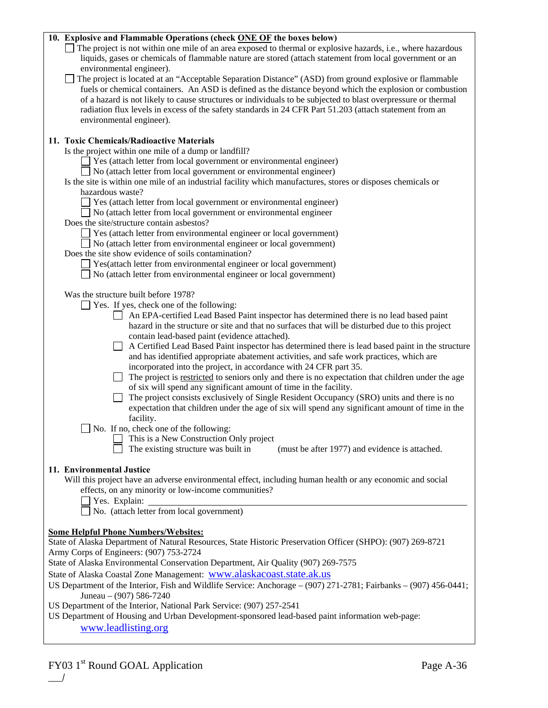| 10. Explosive and Flammable Operations (check ONE OF the boxes below)<br>The project is not within one mile of an area exposed to thermal or explosive hazards, i.e., where hazardous<br>liquids, gases or chemicals of flammable nature are stored (attach statement from local government or an<br>environmental engineer).<br>The project is located at an "Acceptable Separation Distance" (ASD) from ground explosive or flammable<br>fuels or chemical containers. An ASD is defined as the distance beyond which the explosion or combustion<br>of a hazard is not likely to cause structures or individuals to be subjected to blast overpressure or thermal<br>radiation flux levels in excess of the safety standards in 24 CFR Part 51.203 (attach statement from an<br>environmental engineer).                                                                                                                                                                                                                          |
|--------------------------------------------------------------------------------------------------------------------------------------------------------------------------------------------------------------------------------------------------------------------------------------------------------------------------------------------------------------------------------------------------------------------------------------------------------------------------------------------------------------------------------------------------------------------------------------------------------------------------------------------------------------------------------------------------------------------------------------------------------------------------------------------------------------------------------------------------------------------------------------------------------------------------------------------------------------------------------------------------------------------------------------|
|                                                                                                                                                                                                                                                                                                                                                                                                                                                                                                                                                                                                                                                                                                                                                                                                                                                                                                                                                                                                                                      |
| 11. Toxic Chemicals/Radioactive Materials<br>Is the project within one mile of a dump or landfill?<br>Yes (attach letter from local government or environmental engineer)<br>No (attach letter from local government or environmental engineer)<br>Is the site is within one mile of an industrial facility which manufactures, stores or disposes chemicals or<br>hazardous waste?                                                                                                                                                                                                                                                                                                                                                                                                                                                                                                                                                                                                                                                  |
| Yes (attach letter from local government or environmental engineer)                                                                                                                                                                                                                                                                                                                                                                                                                                                                                                                                                                                                                                                                                                                                                                                                                                                                                                                                                                  |
| No (attach letter from local government or environmental engineer<br>Does the site/structure contain asbestos?                                                                                                                                                                                                                                                                                                                                                                                                                                                                                                                                                                                                                                                                                                                                                                                                                                                                                                                       |
| Yes (attach letter from environmental engineer or local government)                                                                                                                                                                                                                                                                                                                                                                                                                                                                                                                                                                                                                                                                                                                                                                                                                                                                                                                                                                  |
| No (attach letter from environmental engineer or local government)                                                                                                                                                                                                                                                                                                                                                                                                                                                                                                                                                                                                                                                                                                                                                                                                                                                                                                                                                                   |
| Does the site show evidence of soils contamination?                                                                                                                                                                                                                                                                                                                                                                                                                                                                                                                                                                                                                                                                                                                                                                                                                                                                                                                                                                                  |
| Yes(attach letter from environmental engineer or local government)                                                                                                                                                                                                                                                                                                                                                                                                                                                                                                                                                                                                                                                                                                                                                                                                                                                                                                                                                                   |
| No (attach letter from environmental engineer or local government)                                                                                                                                                                                                                                                                                                                                                                                                                                                                                                                                                                                                                                                                                                                                                                                                                                                                                                                                                                   |
| Was the structure built before 1978?<br>Yes. If yes, check one of the following:<br>An EPA-certified Lead Based Paint inspector has determined there is no lead based paint<br>hazard in the structure or site and that no surfaces that will be disturbed due to this project<br>contain lead-based paint (evidence attached).<br>A Certified Lead Based Paint inspector has determined there is lead based paint in the structure<br>and has identified appropriate abatement activities, and safe work practices, which are<br>incorporated into the project, in accordance with 24 CFR part 35.<br>The project is restricted to seniors only and there is no expectation that children under the age<br>of six will spend any significant amount of time in the facility.<br>The project consists exclusively of Single Resident Occupancy (SRO) units and there is no<br>expectation that children under the age of six will spend any significant amount of time in the<br>facility.<br>No. If no, check one of the following: |
| This is a New Construction Only project                                                                                                                                                                                                                                                                                                                                                                                                                                                                                                                                                                                                                                                                                                                                                                                                                                                                                                                                                                                              |
| The existing structure was built in<br>(must be after 1977) and evidence is attached.                                                                                                                                                                                                                                                                                                                                                                                                                                                                                                                                                                                                                                                                                                                                                                                                                                                                                                                                                |
| 11. Environmental Justice<br>Will this project have an adverse environmental effect, including human health or any economic and social<br>effects, on any minority or low-income communities?<br>Yes. Explain:<br>No. (attach letter from local government)                                                                                                                                                                                                                                                                                                                                                                                                                                                                                                                                                                                                                                                                                                                                                                          |
|                                                                                                                                                                                                                                                                                                                                                                                                                                                                                                                                                                                                                                                                                                                                                                                                                                                                                                                                                                                                                                      |
| <b>Some Helpful Phone Numbers/Websites:</b><br>State of Alaska Department of Natural Resources, State Historic Preservation Officer (SHPO): (907) 269-8721<br>Army Corps of Engineers: (907) 753-2724<br>State of Alaska Environmental Conservation Department, Air Quality (907) 269-7575                                                                                                                                                                                                                                                                                                                                                                                                                                                                                                                                                                                                                                                                                                                                           |
| State of Alaska Coastal Zone Management: www.alaskacoast.state.ak.us<br>US Department of the Interior, Fish and Wildlife Service: Anchorage – (907) 271-2781; Fairbanks – (907) 456-0441;<br>Juneau $- (907)$ 586-7240                                                                                                                                                                                                                                                                                                                                                                                                                                                                                                                                                                                                                                                                                                                                                                                                               |
| US Department of the Interior, National Park Service: (907) 257-2541                                                                                                                                                                                                                                                                                                                                                                                                                                                                                                                                                                                                                                                                                                                                                                                                                                                                                                                                                                 |
| US Department of Housing and Urban Development-sponsored lead-based paint information web-page:                                                                                                                                                                                                                                                                                                                                                                                                                                                                                                                                                                                                                                                                                                                                                                                                                                                                                                                                      |
| www.leadlisting.org                                                                                                                                                                                                                                                                                                                                                                                                                                                                                                                                                                                                                                                                                                                                                                                                                                                                                                                                                                                                                  |

/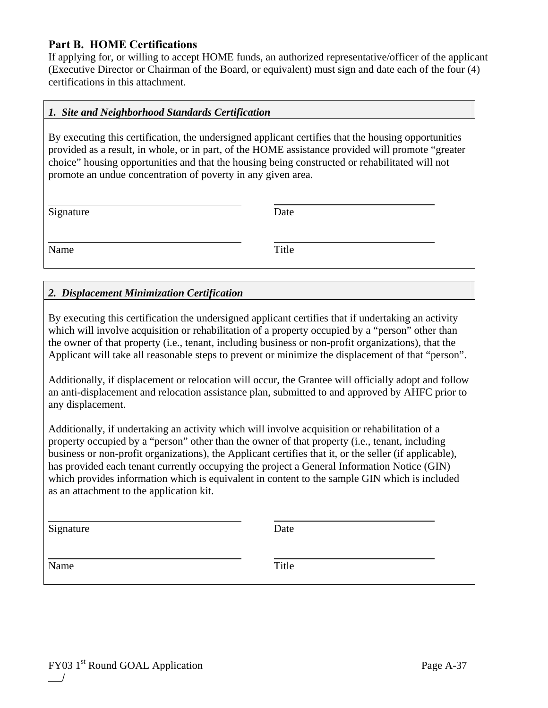### **Part B. HOME Certifications**

If applying for, or willing to accept HOME funds, an authorized representative/officer of the applicant (Executive Director or Chairman of the Board, or equivalent) must sign and date each of the four (4) certifications in this attachment.

#### *1. Site and Neighborhood Standards Certification*

By executing this certification, the undersigned applicant certifies that the housing opportunities provided as a result, in whole, or in part, of the HOME assistance provided will promote "greater choice" housing opportunities and that the housing being constructed or rehabilitated will not promote an undue concentration of poverty in any given area.

| Signature | Date  |
|-----------|-------|
| Name      | Title |

#### *2. Displacement Minimization Certification*

By executing this certification the undersigned applicant certifies that if undertaking an activity which will involve acquisition or rehabilitation of a property occupied by a "person" other than the owner of that property (i.e., tenant, including business or non-profit organizations), that the Applicant will take all reasonable steps to prevent or minimize the displacement of that "person".

Additionally, if displacement or relocation will occur, the Grantee will officially adopt and follow an anti-displacement and relocation assistance plan, submitted to and approved by AHFC prior to any displacement.

Additionally, if undertaking an activity which will involve acquisition or rehabilitation of a property occupied by a "person" other than the owner of that property (i.e., tenant, including business or non-profit organizations), the Applicant certifies that it, or the seller (if applicable), has provided each tenant currently occupying the project a General Information Notice (GIN) which provides information which is equivalent in content to the sample GIN which is included as an attachment to the application kit.

| Signature | Date  |
|-----------|-------|
| Name      | Title |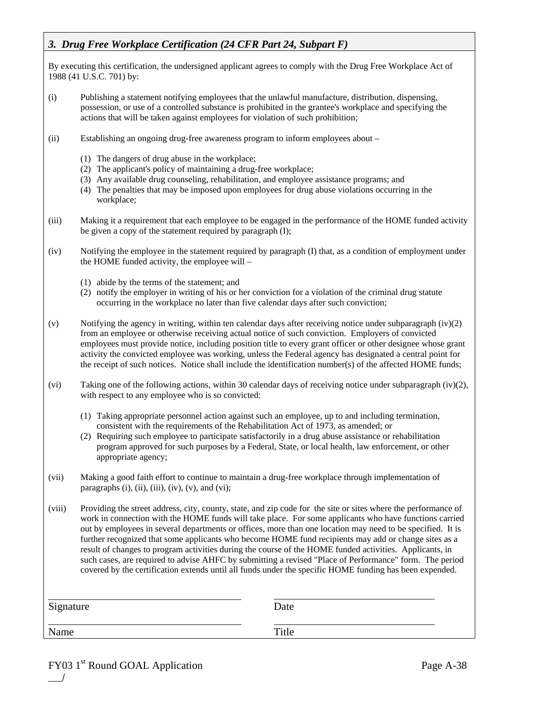### *3. Drug Free Workplace Certification (24 CFR Part 24, Subpart F)*

By executing this certification, the undersigned applicant agrees to comply with the Drug Free Workplace Act of 1988 (41 U.S.C. 701) by:

- (i) Publishing a statement notifying employees that the unlawful manufacture, distribution, dispensing, possession, or use of a controlled substance is prohibited in the grantee's workplace and specifying the actions that will be taken against employees for violation of such prohibition;
- (ii) Establishing an ongoing drug-free awareness program to inform employees about
	- (1) The dangers of drug abuse in the workplace;
	- (2) The applicant's policy of maintaining a drug-free workplace;
	- (3) Any available drug counseling, rehabilitation, and employee assistance programs; and
	- (4) The penalties that may be imposed upon employees for drug abuse violations occurring in the workplace;
- (iii) Making it a requirement that each employee to be engaged in the performance of the HOME funded activity be given a copy of the statement required by paragraph (I);
- (iv) Notifying the employee in the statement required by paragraph (I) that, as a condition of employment under the HOME funded activity, the employee will –
	- (1) abide by the terms of the statement; and
	- (2) notify the employer in writing of his or her conviction for a violation of the criminal drug statute occurring in the workplace no later than five calendar days after such conviction;
- (v) Notifying the agency in writing, within ten calendar days after receiving notice under subparagraph  $(iv)(2)$ from an employee or otherwise receiving actual notice of such conviction. Employers of convicted employees must provide notice, including position title to every grant officer or other designee whose grant activity the convicted employee was working, unless the Federal agency has designated a central point for the receipt of such notices. Notice shall include the identification number(s) of the affected HOME funds;
- (vi) Taking one of the following actions, within 30 calendar days of receiving notice under subparagraph (iv)(2), with respect to any employee who is so convicted:
	- (1) Taking appropriate personnel action against such an employee, up to and including termination, consistent with the requirements of the Rehabilitation Act of 1973, as amended; or
	- (2) Requiring such employee to participate satisfactorily in a drug abuse assistance or rehabilitation program approved for such purposes by a Federal, State, or local health, law enforcement, or other appropriate agency;
- (vii) Making a good faith effort to continue to maintain a drug-free workplace through implementation of paragraphs  $(i)$ ,  $(ii)$ ,  $(iii)$ ,  $(iv)$ ,  $(v)$ , and  $(vi)$ ;
- (viii) Providing the street address, city, county, state, and zip code for the site or sites where the performance of work in connection with the HOME funds will take place. For some applicants who have functions carried out by employees in several departments or offices, more than one location may need to be specified. It is further recognized that some applicants who become HOME fund recipients may add or change sites as a result of changes to program activities during the course of the HOME funded activities. Applicants, in such cases, are required to advise AHFC by submitting a revised "Place of Performance" form. The period covered by the certification extends until all funds under the specific HOME funding has been expended.

| Signature | Date  |
|-----------|-------|
| Name      | Title |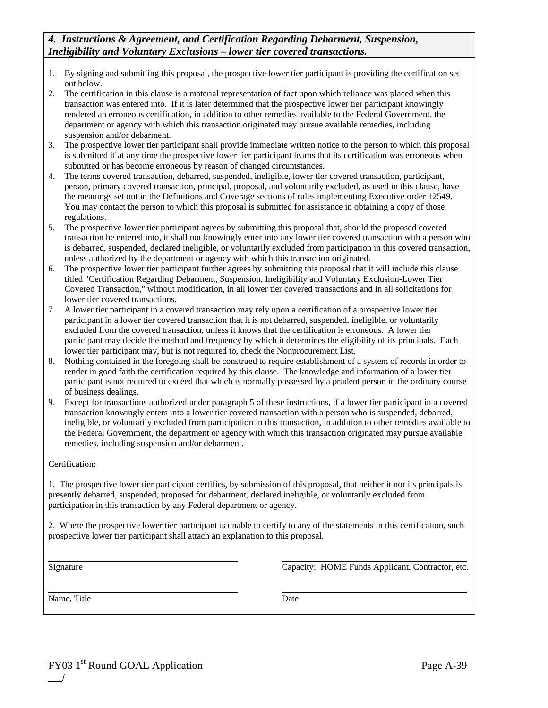#### *4. Instructions & Agreement, and Certification Regarding Debarment, Suspension, Ineligibility and Voluntary Exclusions – lower tier covered transactions.*

- 1. By signing and submitting this proposal, the prospective lower tier participant is providing the certification set out below.
- 2. The certification in this clause is a material representation of fact upon which reliance was placed when this transaction was entered into. If it is later determined that the prospective lower tier participant knowingly rendered an erroneous certification, in addition to other remedies available to the Federal Government, the department or agency with which this transaction originated may pursue available remedies, including suspension and/or debarment.
- 3. The prospective lower tier participant shall provide immediate written notice to the person to which this proposal is submitted if at any time the prospective lower tier participant learns that its certification was erroneous when submitted or has become erroneous by reason of changed circumstances.
- 4. The terms covered transaction, debarred, suspended, ineligible, lower tier covered transaction, participant, person, primary covered transaction, principal, proposal, and voluntarily excluded, as used in this clause, have the meanings set out in the Definitions and Coverage sections of rules implementing Executive order 12549. You may contact the person to which this proposal is submitted for assistance in obtaining a copy of those regulations.
- 5. The prospective lower tier participant agrees by submitting this proposal that, should the proposed covered transaction be entered into, it shall not knowingly enter into any lower tier covered transaction with a person who is debarred, suspended, declared ineligible, or voluntarily excluded from participation in this covered transaction, unless authorized by the department or agency with which this transaction originated.
- 6. The prospective lower tier participant further agrees by submitting this proposal that it will include this clause titled "Certification Regarding Debarment, Suspension, Ineligibility and Voluntary Exclusion-Lower Tier Covered Transaction," without modification, in all lower tier covered transactions and in all solicitations for lower tier covered transactions.
- 7. A lower tier participant in a covered transaction may rely upon a certification of a prospective lower tier participant in a lower tier covered transaction that it is not debarred, suspended, ineligible, or voluntarily excluded from the covered transaction, unless it knows that the certification is erroneous. A lower tier participant may decide the method and frequency by which it determines the eligibility of its principals. Each lower tier participant may, but is not required to, check the Nonprocurement List.
- 8. Nothing contained in the foregoing shall be construed to require establishment of a system of records in order to render in good faith the certification required by this clause. The knowledge and information of a lower tier participant is not required to exceed that which is normally possessed by a prudent person in the ordinary course of business dealings.
- 9. Except for transactions authorized under paragraph 5 of these instructions, if a lower tier participant in a covered transaction knowingly enters into a lower tier covered transaction with a person who is suspended, debarred, ineligible, or voluntarily excluded from participation in this transaction, in addition to other remedies available to the Federal Government, the department or agency with which this transaction originated may pursue available remedies, including suspension and/or debarment.

Certification:

1. The prospective lower tier participant certifies, by submission of this proposal, that neither it nor its principals is presently debarred, suspended, proposed for debarment, declared ineligible, or voluntarily excluded from participation in this transaction by any Federal department or agency.

2. Where the prospective lower tier participant is unable to certify to any of the statements in this certification, such prospective lower tier participant shall attach an explanation to this proposal.

 $\overline{a}$ 

Signature Capacity: HOME Funds Applicant, Contractor, etc.

Name, Title Date

 $\overline{a}$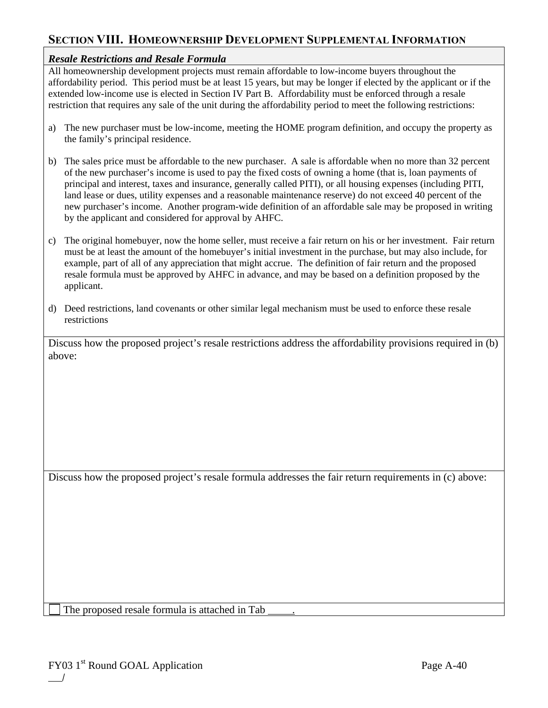### **SECTION VIII. HOMEOWNERSHIP DEVELOPMENT SUPPLEMENTAL INFORMATION**

### *Resale Restrictions and Resale Formula*

All homeownership development projects must remain affordable to low-income buyers throughout the affordability period. This period must be at least 15 years, but may be longer if elected by the applicant or if the extended low-income use is elected in Section IV Part B. Affordability must be enforced through a resale restriction that requires any sale of the unit during the affordability period to meet the following restrictions:

- a) The new purchaser must be low-income, meeting the HOME program definition, and occupy the property as the family's principal residence.
- b) The sales price must be affordable to the new purchaser. A sale is affordable when no more than 32 percent of the new purchaser's income is used to pay the fixed costs of owning a home (that is, loan payments of principal and interest, taxes and insurance, generally called PITI), or all housing expenses (including PITI, land lease or dues, utility expenses and a reasonable maintenance reserve) do not exceed 40 percent of the new purchaser's income. Another program-wide definition of an affordable sale may be proposed in writing by the applicant and considered for approval by AHFC.
- c) The original homebuyer, now the home seller, must receive a fair return on his or her investment. Fair return must be at least the amount of the homebuyer's initial investment in the purchase, but may also include, for example, part of all of any appreciation that might accrue. The definition of fair return and the proposed resale formula must be approved by AHFC in advance, and may be based on a definition proposed by the applicant.
- d) Deed restrictions, land covenants or other similar legal mechanism must be used to enforce these resale restrictions

Discuss how the proposed project's resale restrictions address the affordability provisions required in (b) above:

Discuss how the proposed project's resale formula addresses the fair return requirements in (c) above:

The proposed resale formula is attached in Tab .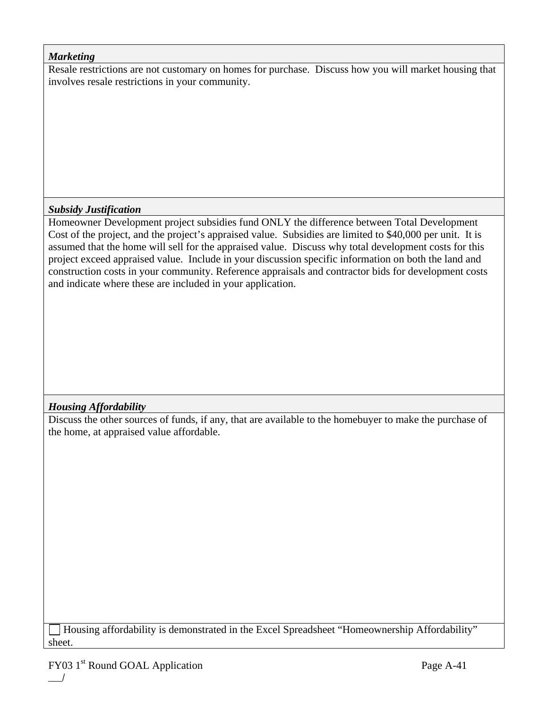### *Marketing*

Resale restrictions are not customary on homes for purchase. Discuss how you will market housing that involves resale restrictions in your community.

### *Subsidy Justification*

Homeowner Development project subsidies fund ONLY the difference between Total Development Cost of the project, and the project's appraised value. Subsidies are limited to \$40,000 per unit. It is assumed that the home will sell for the appraised value. Discuss why total development costs for this project exceed appraised value. Include in your discussion specific information on both the land and construction costs in your community. Reference appraisals and contractor bids for development costs and indicate where these are included in your application.

### *Housing Affordability*

Discuss the other sources of funds, if any, that are available to the homebuyer to make the purchase of the home, at appraised value affordable.

 Housing affordability is demonstrated in the Excel Spreadsheet "Homeownership Affordability" sheet.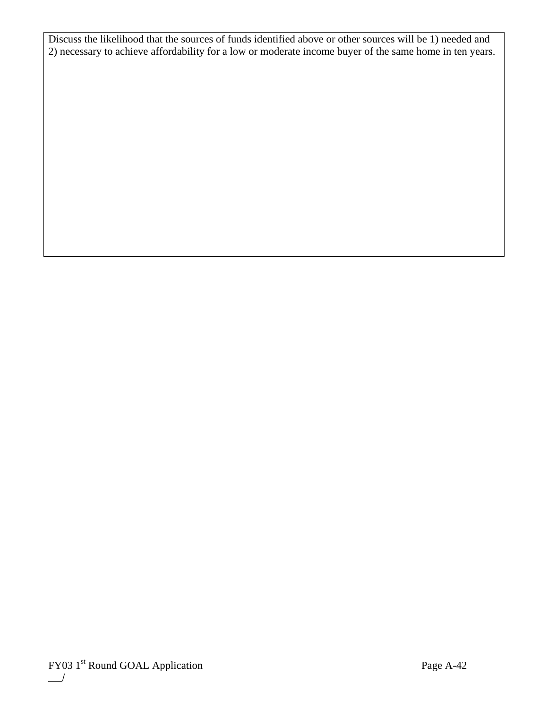Discuss the likelihood that the sources of funds identified above or other sources will be 1) needed and 2) necessary to achieve affordability for a low or moderate income buyer of the same home in ten years.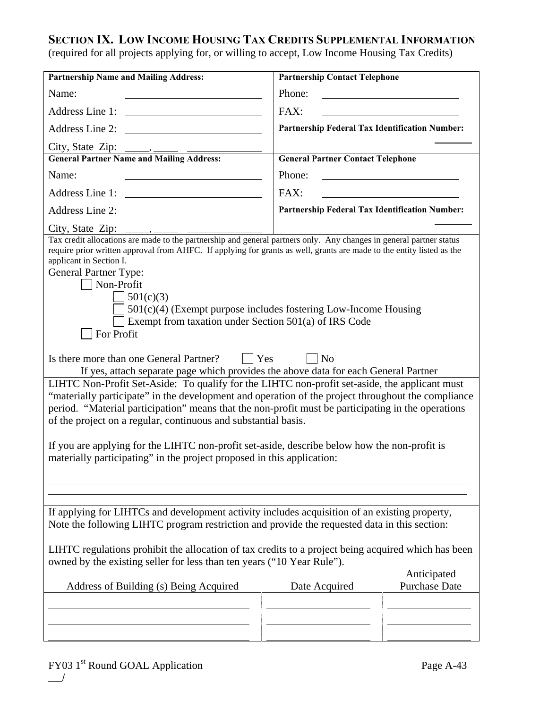### **SECTION IX. LOW INCOME HOUSING TAX CREDITS SUPPLEMENTAL INFORMATION**

(required for all projects applying for, or willing to accept, Low Income Housing Tax Credits)

| <b>Partnership Name and Mailing Address:</b>                                                                                                                                                                                                                            | <b>Partnership Contact Telephone</b>                              |  |
|-------------------------------------------------------------------------------------------------------------------------------------------------------------------------------------------------------------------------------------------------------------------------|-------------------------------------------------------------------|--|
| Name:                                                                                                                                                                                                                                                                   | Phone:                                                            |  |
| Address Line 1:                                                                                                                                                                                                                                                         | FAX:                                                              |  |
| Address Line 2:                                                                                                                                                                                                                                                         | <b>Partnership Federal Tax Identification Number:</b>             |  |
| City, State Zip: ______, ________ General Partner Name and Mailing Address:                                                                                                                                                                                             |                                                                   |  |
|                                                                                                                                                                                                                                                                         | <b>General Partner Contact Telephone</b>                          |  |
| Name:                                                                                                                                                                                                                                                                   | Phone:<br><u> 1989 - Andrea Andrew Maria (h. 1989).</u>           |  |
|                                                                                                                                                                                                                                                                         | FAX:                                                              |  |
| Address Line 2: New York 1988                                                                                                                                                                                                                                           | <b>Partnership Federal Tax Identification Number:</b>             |  |
| City, State Zip:                                                                                                                                                                                                                                                        |                                                                   |  |
| Tax credit allocations are made to the partnership and general partners only. Any changes in general partner status<br>require prior written approval from AHFC. If applying for grants as well, grants are made to the entity listed as the<br>applicant in Section I. |                                                                   |  |
| <b>General Partner Type:</b>                                                                                                                                                                                                                                            |                                                                   |  |
| Non-Profit                                                                                                                                                                                                                                                              |                                                                   |  |
| 501(c)(3)                                                                                                                                                                                                                                                               |                                                                   |  |
|                                                                                                                                                                                                                                                                         | $501(c)(4)$ (Exempt purpose includes fostering Low-Income Housing |  |
| Exempt from taxation under Section 501(a) of IRS Code                                                                                                                                                                                                                   |                                                                   |  |
| For Profit                                                                                                                                                                                                                                                              |                                                                   |  |
| Is there more than one General Partner?<br>Yes                                                                                                                                                                                                                          | $ $ No                                                            |  |
| If yes, attach separate page which provides the above data for each General Partner                                                                                                                                                                                     |                                                                   |  |
| LIHTC Non-Profit Set-Aside: To qualify for the LIHTC non-profit set-aside, the applicant must                                                                                                                                                                           |                                                                   |  |
| "materially participate" in the development and operation of the project throughout the compliance                                                                                                                                                                      |                                                                   |  |
| period. "Material participation" means that the non-profit must be participating in the operations<br>of the project on a regular, continuous and substantial basis.                                                                                                    |                                                                   |  |
|                                                                                                                                                                                                                                                                         |                                                                   |  |
| If you are applying for the LIHTC non-profit set-aside, describe below how the non-profit is                                                                                                                                                                            |                                                                   |  |
| materially participating" in the project proposed in this application:                                                                                                                                                                                                  |                                                                   |  |
|                                                                                                                                                                                                                                                                         |                                                                   |  |
|                                                                                                                                                                                                                                                                         |                                                                   |  |
|                                                                                                                                                                                                                                                                         |                                                                   |  |
| If applying for LIHTCs and development activity includes acquisition of an existing property,                                                                                                                                                                           |                                                                   |  |
| Note the following LIHTC program restriction and provide the requested data in this section:                                                                                                                                                                            |                                                                   |  |
|                                                                                                                                                                                                                                                                         |                                                                   |  |
| LIHTC regulations prohibit the allocation of tax credits to a project being acquired which has been                                                                                                                                                                     |                                                                   |  |
| owned by the existing seller for less than ten years ("10 Year Rule").                                                                                                                                                                                                  |                                                                   |  |
|                                                                                                                                                                                                                                                                         | Anticipated                                                       |  |
| Address of Building (s) Being Acquired                                                                                                                                                                                                                                  | <b>Purchase Date</b><br>Date Acquired                             |  |
|                                                                                                                                                                                                                                                                         |                                                                   |  |
|                                                                                                                                                                                                                                                                         |                                                                   |  |
|                                                                                                                                                                                                                                                                         |                                                                   |  |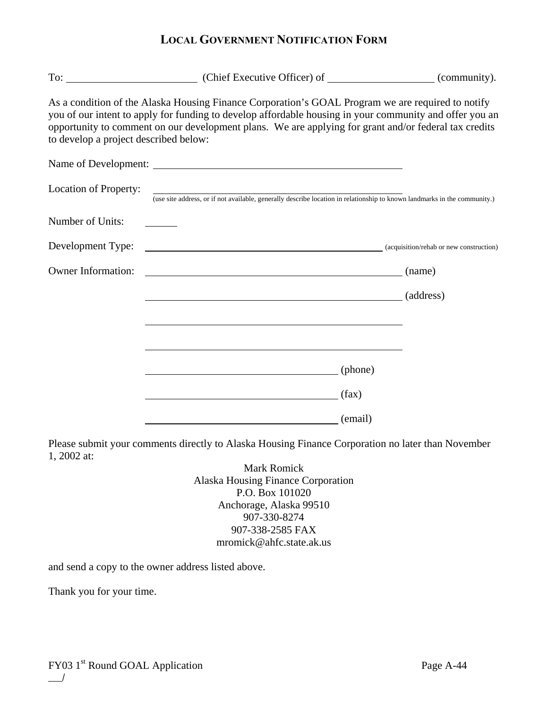### **LOCAL GOVERNMENT NOTIFICATION FORM**

| to develop a project described below: | As a condition of the Alaska Housing Finance Corporation's GOAL Program we are required to notify<br>you of our intent to apply for funding to develop affordable housing in your community and offer you an<br>opportunity to comment on our development plans. We are applying for grant and/or federal tax credits |  |
|---------------------------------------|-----------------------------------------------------------------------------------------------------------------------------------------------------------------------------------------------------------------------------------------------------------------------------------------------------------------------|--|
|                                       |                                                                                                                                                                                                                                                                                                                       |  |
| Location of Property:                 | (use site address, or if not available, generally describe location in relationship to known landmarks in the community.)                                                                                                                                                                                             |  |
| Number of Units:                      |                                                                                                                                                                                                                                                                                                                       |  |
|                                       | Development Type: <u>capital and the construction</u> (acquisition/rehab or new construction)                                                                                                                                                                                                                         |  |
| Owner Information:                    | $\frac{1}{2}$ (name)                                                                                                                                                                                                                                                                                                  |  |
|                                       | $\overline{\phantom{a}}$ (address)                                                                                                                                                                                                                                                                                    |  |
|                                       |                                                                                                                                                                                                                                                                                                                       |  |
|                                       |                                                                                                                                                                                                                                                                                                                       |  |
|                                       | (phone)                                                                                                                                                                                                                                                                                                               |  |
|                                       | (fax)                                                                                                                                                                                                                                                                                                                 |  |
|                                       | (email)                                                                                                                                                                                                                                                                                                               |  |

Please submit your comments directly to Alaska Housing Finance Corporation no later than November 1, 2002 at:

> Mark Romick Alaska Housing Finance Corporation P.O. Box 101020 Anchorage, Alaska 99510 907-330-8274 907-338-2585 FAX mromick@ahfc.state.ak.us

and send a copy to the owner address listed above.

Thank you for your time.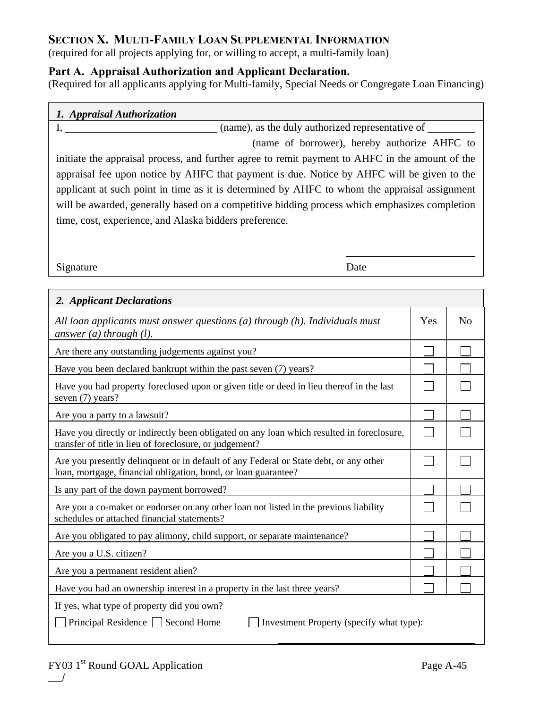### **SECTION X. MULTI-FAMILY LOAN SUPPLEMENTAL INFORMATION**

(required for all projects applying for, or willing to accept, a multi-family loan)

### **Part A. Appraisal Authorization and Applicant Declaration.**

(Required for all applicants applying for Multi-family, Special Needs or Congregate Loan Financing)

| 1. Appraisal Authorization |  |
|----------------------------|--|
|                            |  |

I, (name), as the duly authorized representative of

(name of borrower), hereby authorize AHFC to

initiate the appraisal process, and further agree to remit payment to AHFC in the amount of the appraisal fee upon notice by AHFC that payment is due. Notice by AHFC will be given to the applicant at such point in time as it is determined by AHFC to whom the appraisal assignment will be awarded, generally based on a competitive bidding process which emphasizes completion time, cost, experience, and Alaska bidders preference.

Signature Date

 $\overline{a}$ 

| 2. Applicant Declarations                                                                                                                               |     |                |  |  |  |
|---------------------------------------------------------------------------------------------------------------------------------------------------------|-----|----------------|--|--|--|
| All loan applicants must answer questions $(a)$ through $(h)$ . Individuals must<br>answer $(a)$ through $(l)$ .                                        | Yes | N <sub>0</sub> |  |  |  |
| Are there any outstanding judgements against you?                                                                                                       |     |                |  |  |  |
| Have you been declared bankrupt within the past seven (7) years?                                                                                        |     |                |  |  |  |
| Have you had property foreclosed upon or given title or deed in lieu thereof in the last<br>seven (7) years?                                            |     |                |  |  |  |
| Are you a party to a lawsuit?                                                                                                                           |     |                |  |  |  |
| Have you directly or indirectly been obligated on any loan which resulted in foreclosure,<br>transfer of title in lieu of foreclosure, or judgement?    |     |                |  |  |  |
| Are you presently delinquent or in default of any Federal or State debt, or any other<br>loan, mortgage, financial obligation, bond, or loan guarantee? |     |                |  |  |  |
| Is any part of the down payment borrowed?                                                                                                               |     |                |  |  |  |
| Are you a co-maker or endorser on any other loan not listed in the previous liability<br>schedules or attached financial statements?                    |     |                |  |  |  |
| Are you obligated to pay alimony, child support, or separate maintenance?                                                                               |     |                |  |  |  |
| Are you a U.S. citizen?                                                                                                                                 |     |                |  |  |  |
| Are you a permanent resident alien?                                                                                                                     |     |                |  |  |  |
| Have you had an ownership interest in a property in the last three years?                                                                               |     |                |  |  |  |
| If yes, what type of property did you own?                                                                                                              |     |                |  |  |  |
| Principal Residence   Second Home<br>Investment Property (specify what type):                                                                           |     |                |  |  |  |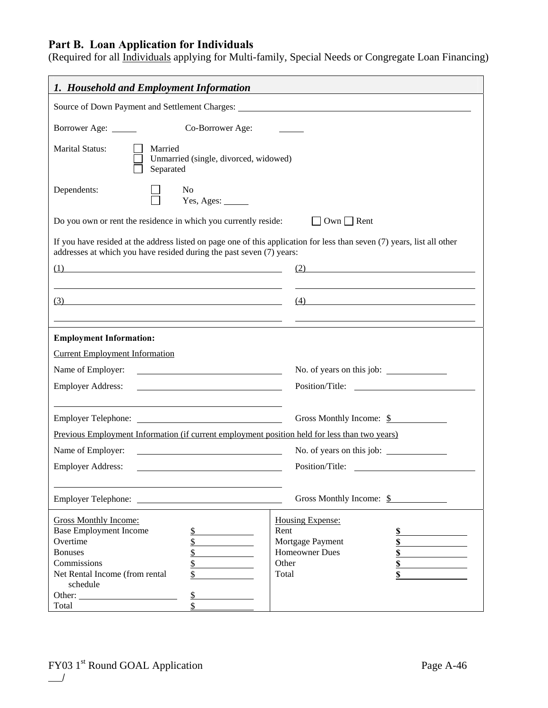### **Part B. Loan Application for Individuals**

(Required for all Individuals applying for Multi-family, Special Needs or Congregate Loan Financing)

| 1. Household and Employment Information                                                                                                                                                           |                                                                  |                                                                              |                                          |  |  |  |  |
|---------------------------------------------------------------------------------------------------------------------------------------------------------------------------------------------------|------------------------------------------------------------------|------------------------------------------------------------------------------|------------------------------------------|--|--|--|--|
| Source of Down Payment and Settlement Charges: __________________________________                                                                                                                 |                                                                  |                                                                              |                                          |  |  |  |  |
| Borrower Age: ______<br>Co-Borrower Age:                                                                                                                                                          |                                                                  |                                                                              |                                          |  |  |  |  |
| <b>Marital Status:</b><br>Married<br>Separated                                                                                                                                                    | Unmarried (single, divorced, widowed)                            |                                                                              |                                          |  |  |  |  |
| Dependents:                                                                                                                                                                                       | N <sub>0</sub><br>Yes, Ages: ______                              |                                                                              |                                          |  |  |  |  |
| Do you own or rent the residence in which you currently reside:                                                                                                                                   |                                                                  | Own Rent                                                                     |                                          |  |  |  |  |
| If you have resided at the address listed on page one of this application for less than seven $(7)$ years, list all other<br>addresses at which you have resided during the past seven (7) years: |                                                                  |                                                                              |                                          |  |  |  |  |
| $\begin{array}{c} \hline \text{(1)} \end{array}$                                                                                                                                                  |                                                                  | (2)                                                                          |                                          |  |  |  |  |
| $\overline{3}$                                                                                                                                                                                    |                                                                  | $\left(4\right)$                                                             |                                          |  |  |  |  |
| <b>Employment Information:</b>                                                                                                                                                                    |                                                                  |                                                                              |                                          |  |  |  |  |
| <b>Current Employment Information</b>                                                                                                                                                             |                                                                  |                                                                              |                                          |  |  |  |  |
| Name of Employer:                                                                                                                                                                                 |                                                                  | No. of years on this job:                                                    |                                          |  |  |  |  |
| <b>Employer Address:</b>                                                                                                                                                                          | <u> 1989 - Johann Stein, mars an t-Amerikaansk kommunister (</u> | Position/Title:                                                              |                                          |  |  |  |  |
| <b>Employer Telephone:</b>                                                                                                                                                                        | <u> 1989 - Johann Barbara, martin a</u>                          | Gross Monthly Income: \$                                                     |                                          |  |  |  |  |
| Previous Employment Information (if current employment position held for less than two years)                                                                                                     |                                                                  |                                                                              |                                          |  |  |  |  |
| Name of Employer:                                                                                                                                                                                 | <u> 1989 - Johann Barbara, martin amerikan basar da</u>          | No. of years on this job:                                                    |                                          |  |  |  |  |
| <b>Employer Address:</b>                                                                                                                                                                          | Position/Title:<br><u> 1980 - Johann Barbara, martin a</u>       |                                                                              |                                          |  |  |  |  |
| <b>Employer Telephone:</b>                                                                                                                                                                        |                                                                  | Gross Monthly Income: \$                                                     |                                          |  |  |  |  |
| <b>Gross Monthly Income:</b><br><b>Base Employment Income</b><br>Overtime<br><b>Bonuses</b>                                                                                                       | \$<br>\$<br>\$                                                   | <b>Housing Expense:</b><br>Rent<br>Mortgage Payment<br><b>Homeowner Dues</b> | $\underline{\underline{\$}}$<br>\$<br>\$ |  |  |  |  |
| Commissions<br>Other<br>\$<br>\$                                                                                                                                                                  |                                                                  |                                                                              |                                          |  |  |  |  |
| Net Rental Income (from rental<br>schedule                                                                                                                                                        | Total<br>\$<br>\$                                                |                                                                              |                                          |  |  |  |  |
| Total                                                                                                                                                                                             | $\frac{1}{2}$<br>\$                                              |                                                                              |                                          |  |  |  |  |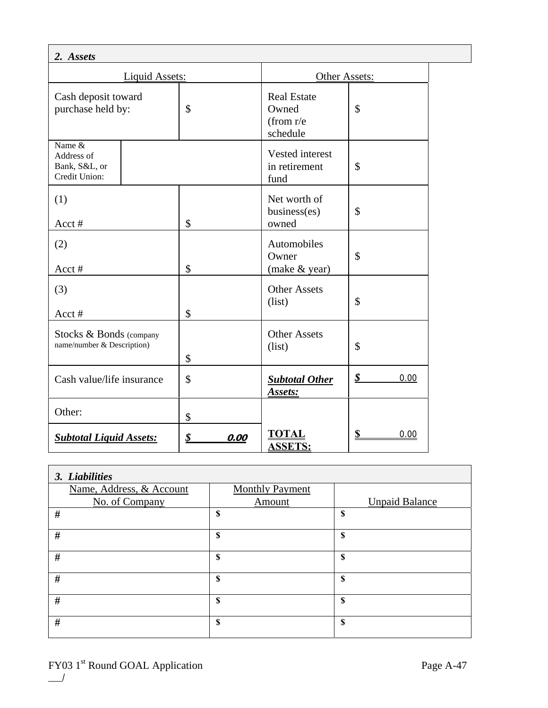| 2. Assets                                              |               |                                                        |                     |  |
|--------------------------------------------------------|---------------|--------------------------------------------------------|---------------------|--|
| <b>Liquid Assets:</b>                                  |               | Other Assets:                                          |                     |  |
| Cash deposit toward<br>purchase held by:               | \$            | <b>Real Estate</b><br>Owned<br>(from $r/e$<br>schedule | \$                  |  |
| Name &<br>Address of<br>Bank, S&L, or<br>Credit Union: |               | Vested interest<br>in retirement<br>fund               | \$                  |  |
| (1)<br>Acct#                                           | \$            | Net worth of<br>business(es)<br>owned                  | $\mathcal{S}$       |  |
| (2)<br>Acct#                                           | \$            | <b>Automobiles</b><br>Owner<br>(make & year)           | \$                  |  |
| (3)<br>Acct#                                           | $\mathcal{S}$ | <b>Other Assets</b><br>(list)                          | \$                  |  |
| Stocks & Bonds (company<br>name/number & Description)  | \$            | <b>Other Assets</b><br>(list)                          | \$                  |  |
| Cash value/life insurance                              | \$            | <b>Subtotal Other</b><br>Assets:                       | \$<br>0.00          |  |
| Other:                                                 | \$            |                                                        |                     |  |
| <b>Subtotal Liquid Assets:</b>                         | \$<br>0.00    | TOTAL<br><b>ASSETS:</b>                                | $\mathbf S$<br>0.00 |  |

| 3. Liabilities           |                        |                       |
|--------------------------|------------------------|-----------------------|
| Name, Address, & Account | <b>Monthly Payment</b> |                       |
| No. of Company           | Amount                 | <b>Unpaid Balance</b> |
| #                        | \$                     | \$                    |
| #                        | S                      | S                     |
| $\#$                     | S                      | S                     |
| $\#$                     | S                      | \$                    |
| $^{\#}$                  | S                      | S                     |
| $\#$                     | S                      | S                     |

Г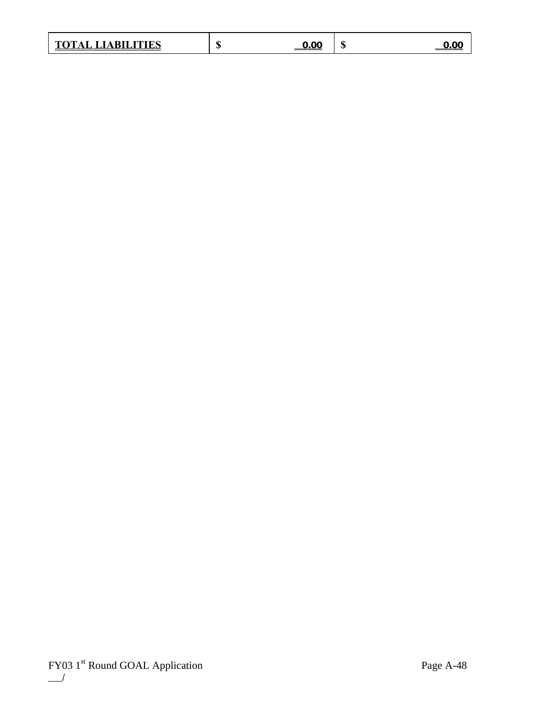| <b>TOTAL LIABILITIES</b> | 4 |  |  | $\cdot$ $\sim$ |
|--------------------------|---|--|--|----------------|
|--------------------------|---|--|--|----------------|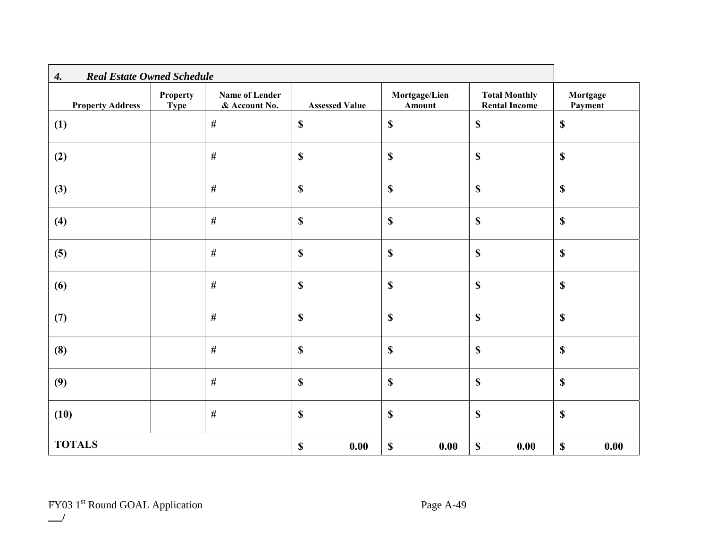| <b>Real Estate Owned Schedule</b><br>$\boldsymbol{4}$ . |                                |                                        |                           |                           |                                              |                           |
|---------------------------------------------------------|--------------------------------|----------------------------------------|---------------------------|---------------------------|----------------------------------------------|---------------------------|
| <b>Property Address</b>                                 | <b>Property</b><br><b>Type</b> | <b>Name of Lender</b><br>& Account No. | <b>Assessed Value</b>     | Mortgage/Lien<br>Amount   | <b>Total Monthly</b><br><b>Rental Income</b> | Mortgage<br>Payment       |
| (1)                                                     |                                | $\#$                                   | $\mathbb S$               | $\mathbb S$               | $\boldsymbol{\mathsf{S}}$                    | $\boldsymbol{\mathsf{S}}$ |
| (2)                                                     |                                | $\#$                                   | $\mathbb S$               | $\mathbb S$               | $\boldsymbol{\mathsf{S}}$                    | $\boldsymbol{\mathsf{S}}$ |
| (3)                                                     |                                | $\#$                                   | $\boldsymbol{\mathsf{S}}$ | $\mathbb S$               | $\mathbb S$                                  | $\boldsymbol{\mathsf{S}}$ |
| (4)                                                     |                                | $\#$                                   | $\mathbf S$               | $\mathbb S$               | $\mathbb{S}$                                 | $\mathbf S$               |
| (5)                                                     |                                | $\#$                                   | $\boldsymbol{\mathsf{S}}$ | $\boldsymbol{\mathsf{S}}$ | $\mathbb S$                                  | $\mathbf S$               |
| (6)                                                     |                                | $\#$                                   | $\boldsymbol{\mathsf{S}}$ | $\boldsymbol{\mathsf{S}}$ | $\mathbf S$                                  | $\mathbf{\$}$             |
| (7)                                                     |                                | #                                      | $\boldsymbol{\mathsf{S}}$ | $\boldsymbol{\mathsf{S}}$ | $\boldsymbol{\mathsf{S}}$                    | $\mathbf S$               |
| (8)                                                     |                                | $\#$                                   | $\boldsymbol{\mathsf{S}}$ | $\boldsymbol{\mathsf{S}}$ | $\mathbf S$                                  | $\mathbf S$               |
| (9)                                                     |                                | $\#$                                   | $\boldsymbol{\mathsf{S}}$ | $\boldsymbol{\mathsf{S}}$ | $\mathbf S$                                  | $\mathbf S$               |
| (10)                                                    |                                | $\#$                                   | $\boldsymbol{\mathsf{S}}$ | $\boldsymbol{\mathsf{S}}$ | $\mathbb{S}$                                 | $\boldsymbol{\mathsf{S}}$ |
| <b>TOTALS</b>                                           |                                |                                        | \$<br>0.00                | $\mathbb S$<br>0.00       | $\mathbb S$<br>0.00                          | $\mathbf S$<br>0.00       |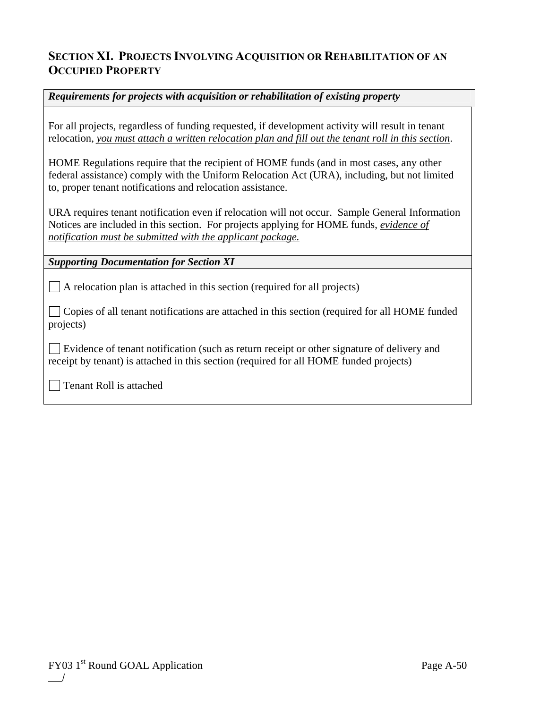### **SECTION XI. PROJECTS INVOLVING ACQUISITION OR REHABILITATION OF AN OCCUPIED PROPERTY**

### *Requirements for projects with acquisition or rehabilitation of existing property*

For all projects, regardless of funding requested, if development activity will result in tenant relocation, *you must attach a written relocation plan and fill out the tenant roll in this section*.

HOME Regulations require that the recipient of HOME funds (and in most cases, any other federal assistance) comply with the Uniform Relocation Act (URA), including, but not limited to, proper tenant notifications and relocation assistance.

URA requires tenant notification even if relocation will not occur. Sample General Information Notices are included in this section. For projects applying for HOME funds, *evidence of notification must be submitted with the applicant package.*

*Supporting Documentation for Section XI* 

 $\Box$  A relocation plan is attached in this section (required for all projects)

 Copies of all tenant notifications are attached in this section (required for all HOME funded projects)

 Evidence of tenant notification (such as return receipt or other signature of delivery and receipt by tenant) is attached in this section (required for all HOME funded projects)

Tenant Roll is attached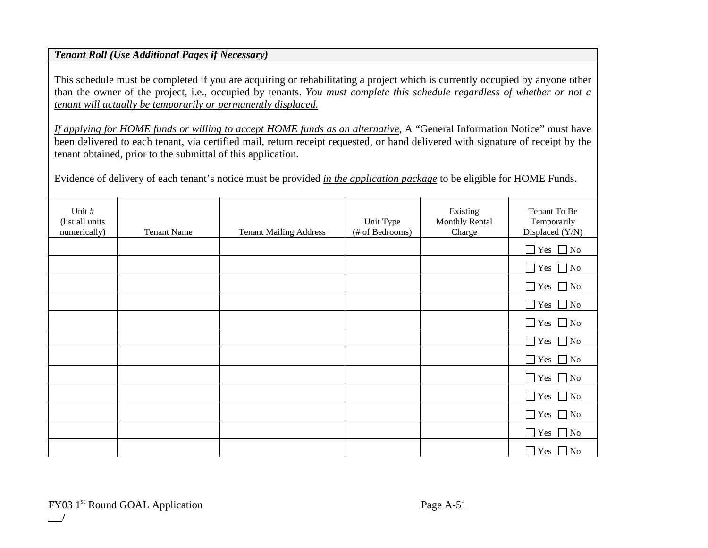### *Tenant Roll (Use Additional Pages if Necessary)*

This schedule must be completed if you are acquiring or rehabilitating a project which is currently occupied by anyone other than the owner of the project, i.e., occupied by tenants. *You must complete this schedule regardless of whether or not a tenant will actually be temporarily or permanently displaced.*

*If applying for HOME funds or willing to accept HOME funds as an alternative*, A "General Information Notice" must have been delivered to each tenant, via certified mail, return receipt requested, or hand delivered with signature of receipt by the tenant obtained, prior to the submittal of this application.

Evidence of delivery of each tenant's notice must be provided *in the application package* to be eligible for HOME Funds.

| Unit #<br>(list all units<br>numerically) | <b>Tenant Name</b> | <b>Tenant Mailing Address</b> | Unit Type<br>(# of Bedrooms) | Existing<br>Monthly Rental<br>Charge | Tenant To Be<br>Temporarily<br>Displaced (Y/N) |
|-------------------------------------------|--------------------|-------------------------------|------------------------------|--------------------------------------|------------------------------------------------|
|                                           |                    |                               |                              |                                      | $\Box$ Yes $\Box$ No                           |
|                                           |                    |                               |                              |                                      | $\Box$ Yes $\Box$ No                           |
|                                           |                    |                               |                              |                                      | $\vert$ Yes $\Box$ No<br>$\Box$                |
|                                           |                    |                               |                              |                                      | $\Box$ Yes $\Box$ No                           |
|                                           |                    |                               |                              |                                      | $\Box$ Yes $\Box$ No                           |
|                                           |                    |                               |                              |                                      | $\Box$ Yes $\Box$ No                           |
|                                           |                    |                               |                              |                                      | $\Box$ Yes $\Box$ No                           |
|                                           |                    |                               |                              |                                      | $\Box$ Yes $\Box$ No                           |
|                                           |                    |                               |                              |                                      | $\Box$ Yes $\Box$ No                           |
|                                           |                    |                               |                              |                                      | $\vert$ Yes $\Box$ No<br>$\Box$                |
|                                           |                    |                               |                              |                                      | $\Box$ Yes $\Box$ No                           |
|                                           |                    |                               |                              |                                      | $\Box$<br>$\vert$ Yes $\Box$ No                |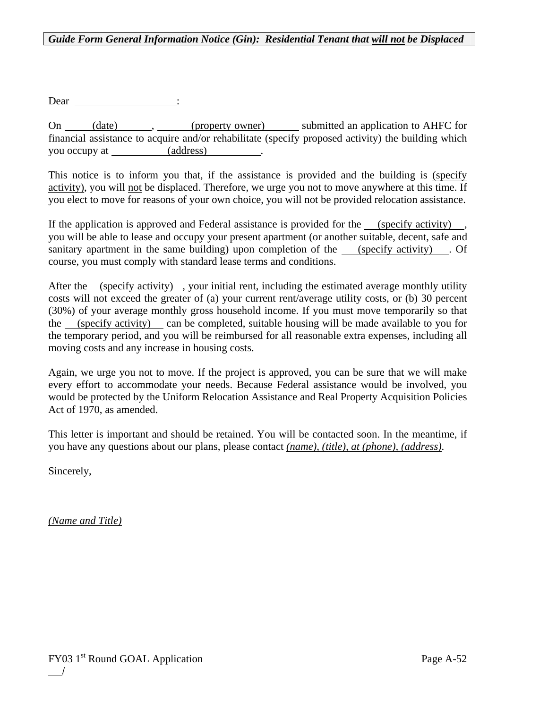### *Guide Form General Information Notice (Gin): Residential Tenant that will not be Displaced*

Dear \_\_\_\_\_\_\_\_\_\_\_\_\_\_\_\_\_\_\_\_\_\_\_:

On (date), (property owner) submitted an application to AHFC for financial assistance to acquire and/or rehabilitate (specify proposed activity) the building which you occupy at (address) .

This notice is to inform you that, if the assistance is provided and the building is (specify activity), you will not be displaced. Therefore, we urge you not to move anywhere at this time. If you elect to move for reasons of your own choice, you will not be provided relocation assistance.

If the application is approved and Federal assistance is provided for the (specify activity), you will be able to lease and occupy your present apartment (or another suitable, decent, safe and sanitary apartment in the same building) upon completion of the (specify activity) . Of course, you must comply with standard lease terms and conditions.

After the (specify activity) , your initial rent, including the estimated average monthly utility costs will not exceed the greater of (a) your current rent/average utility costs, or (b) 30 percent (30%) of your average monthly gross household income. If you must move temporarily so that the (specify activity) can be completed, suitable housing will be made available to you for the temporary period, and you will be reimbursed for all reasonable extra expenses, including all moving costs and any increase in housing costs.

Again, we urge you not to move. If the project is approved, you can be sure that we will make every effort to accommodate your needs. Because Federal assistance would be involved, you would be protected by the Uniform Relocation Assistance and Real Property Acquisition Policies Act of 1970, as amended.

This letter is important and should be retained. You will be contacted soon. In the meantime, if you have any questions about our plans, please contact *(name), (title), at (phone), (address)*.

Sincerely,

*(Name and Title)*